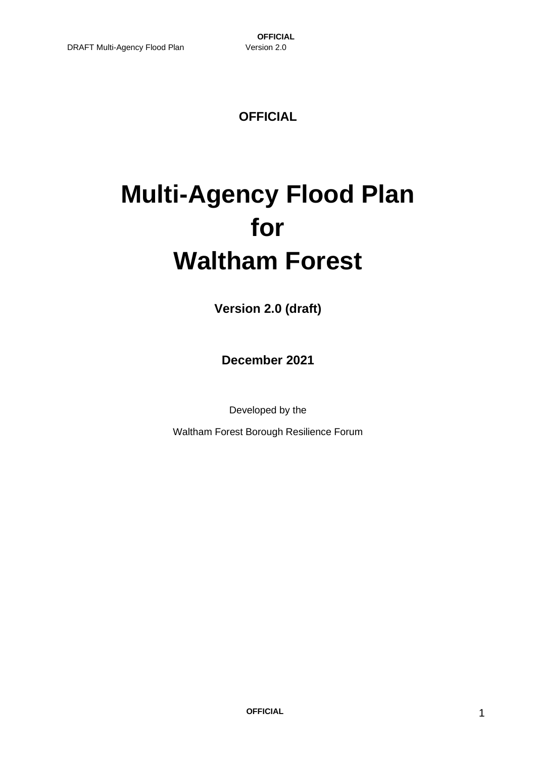### **OFFICIAL**

# **Multi-Agency Flood Plan for Waltham Forest**

**Version 2.0 (draft)**

**December 2021**

Developed by the

Waltham Forest Borough Resilience Forum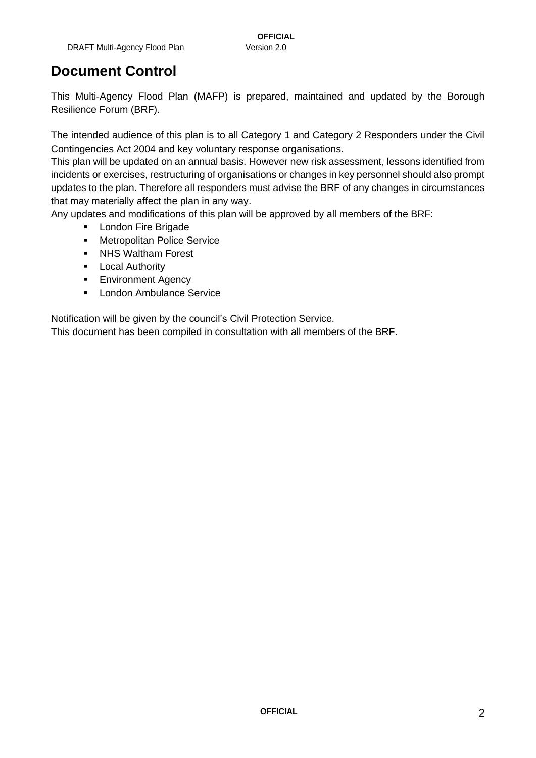### **Document Control**

This Multi-Agency Flood Plan (MAFP) is prepared, maintained and updated by the Borough Resilience Forum (BRF).

The intended audience of this plan is to all Category 1 and Category 2 Responders under the Civil Contingencies Act 2004 and key voluntary response organisations.

This plan will be updated on an annual basis. However new risk assessment, lessons identified from incidents or exercises, restructuring of organisations or changes in key personnel should also prompt updates to the plan. Therefore all responders must advise the BRF of any changes in circumstances that may materially affect the plan in any way.

Any updates and modifications of this plan will be approved by all members of the BRF:

- **London Fire Brigade**
- Metropolitan Police Service
- NHS Waltham Forest
- **■** Local Authority
- **Environment Agency**
- London Ambulance Service

Notification will be given by the council's Civil Protection Service.

This document has been compiled in consultation with all members of the BRF.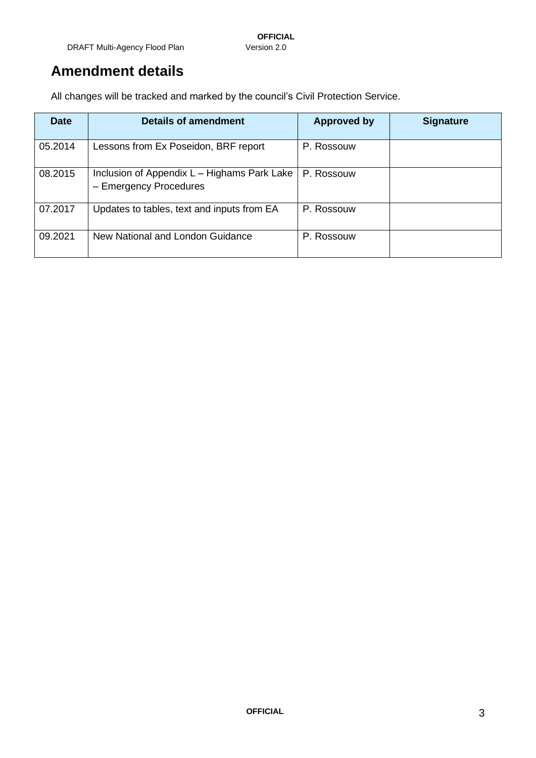### **Amendment details**

All changes will be tracked and marked by the council's Civil Protection Service.

| <b>Date</b> | <b>Details of amendment</b>                                           | <b>Approved by</b> | <b>Signature</b> |
|-------------|-----------------------------------------------------------------------|--------------------|------------------|
| 05.2014     | Lessons from Ex Poseidon, BRF report                                  | P. Rossouw         |                  |
| 08.2015     | Inclusion of Appendix L - Highams Park Lake<br>- Emergency Procedures | P. Rossouw         |                  |
| 07.2017     | Updates to tables, text and inputs from EA                            | P. Rossouw         |                  |
| 09.2021     | New National and London Guidance                                      | P. Rossouw         |                  |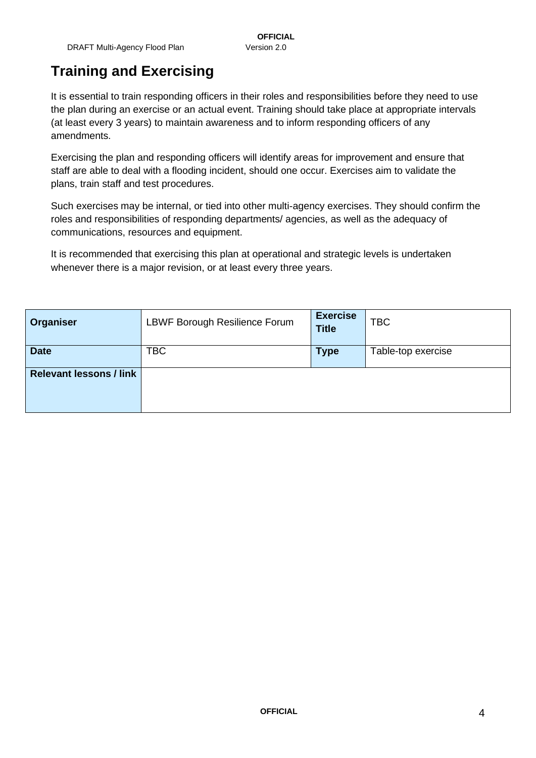### **Training and Exercising**

It is essential to train responding officers in their roles and responsibilities before they need to use the plan during an exercise or an actual event. Training should take place at appropriate intervals (at least every 3 years) to maintain awareness and to inform responding officers of any amendments.

Exercising the plan and responding officers will identify areas for improvement and ensure that staff are able to deal with a flooding incident, should one occur. Exercises aim to validate the plans, train staff and test procedures.

Such exercises may be internal, or tied into other multi-agency exercises. They should confirm the roles and responsibilities of responding departments/ agencies, as well as the adequacy of communications, resources and equipment.

It is recommended that exercising this plan at operational and strategic levels is undertaken whenever there is a major revision, or at least every three years.

| Organiser                      | LBWF Borough Resilience Forum | <b>Exercise</b><br><b>Title</b> | <b>TBC</b>         |
|--------------------------------|-------------------------------|---------------------------------|--------------------|
| <b>Date</b>                    | <b>TBC</b>                    | <b>Type</b>                     | Table-top exercise |
| <b>Relevant lessons / link</b> |                               |                                 |                    |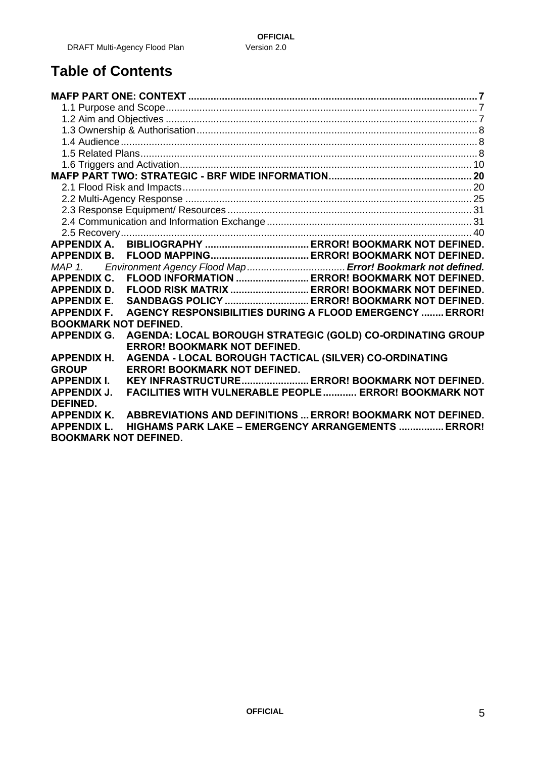### **Table of Contents**

| <b>APPENDIX B.</b>                                                                       |  |  |  |
|------------------------------------------------------------------------------------------|--|--|--|
| MAP 1.                                                                                   |  |  |  |
| FLOOD INFORMATION  ERROR! BOOKMARK NOT DEFINED.<br><b>APPENDIX C.</b>                    |  |  |  |
| FLOOD RISK MATRIX  ERROR! BOOKMARK NOT DEFINED.<br><b>APPENDIX D.</b>                    |  |  |  |
| SANDBAGS POLICY  ERROR! BOOKMARK NOT DEFINED.<br><b>APPENDIX E.</b>                      |  |  |  |
| AGENCY RESPONSIBILITIES DURING A FLOOD EMERGENCY  ERROR!<br><b>APPENDIX F.</b>           |  |  |  |
| <b>BOOKMARK NOT DEFINED.</b>                                                             |  |  |  |
| AGENDA: LOCAL BOROUGH STRATEGIC (GOLD) CO-ORDINATING GROUP<br><b>APPENDIX G.</b>         |  |  |  |
| <b>ERROR! BOOKMARK NOT DEFINED.</b>                                                      |  |  |  |
| AGENDA - LOCAL BOROUGH TACTICAL (SILVER) CO-ORDINATING<br><b>APPENDIX H.</b>             |  |  |  |
| <b>ERROR! BOOKMARK NOT DEFINED.</b><br><b>GROUP</b>                                      |  |  |  |
| KEY INFRASTRUCTURE ERROR! BOOKMARK NOT DEFINED.<br><b>APPENDIX I.</b>                    |  |  |  |
| <b>FACILITIES WITH VULNERABLE PEOPLE  ERROR! BOOKMARK NOT</b><br><b>APPENDIX J.</b>      |  |  |  |
| <b>DEFINED.</b>                                                                          |  |  |  |
| <b>ABBREVIATIONS AND DEFINITIONS  ERROR! BOOKMARK NOT DEFINED.</b><br><b>APPENDIX K.</b> |  |  |  |
| <b>HIGHAMS PARK LAKE - EMERGENCY ARRANGEMENTS  ERROR!</b><br><b>APPENDIX L.</b>          |  |  |  |
| <b>BOOKMARK NOT DEFINED.</b>                                                             |  |  |  |
|                                                                                          |  |  |  |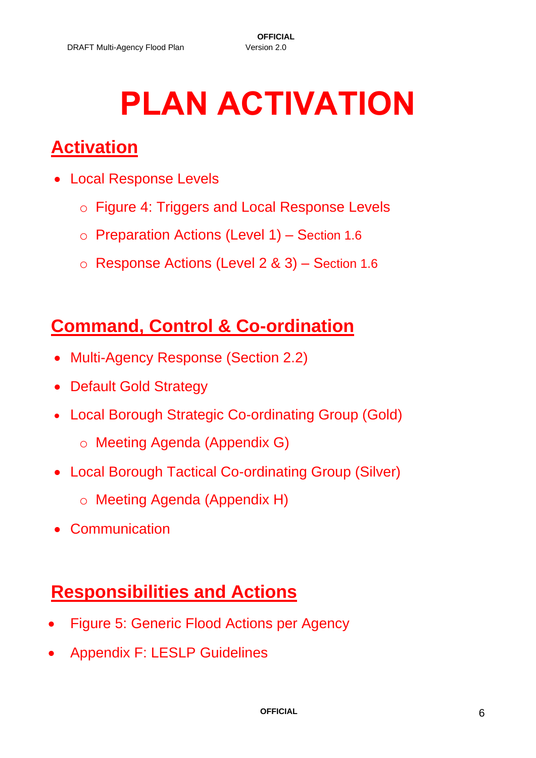# **PLAN ACTIVATION**

## **Activation**

- Local Response Levels
	- o Figure 4: Triggers and Local Response Levels
	- o Preparation Actions (Level 1) Section 1.6
	- o Response Actions (Level 2 & 3) Section 1.6

## **Command, Control & Co-ordination**

- Multi-Agency Response (Section 2.2)
- Default Gold Strategy
- Local Borough Strategic Co-ordinating Group (Gold)
	- o Meeting Agenda (Appendix G)
- Local Borough Tactical Co-ordinating Group (Silver)
	- o Meeting Agenda (Appendix H)
- Communication

### **Responsibilities and Actions**

- Figure 5: Generic Flood Actions per Agency
- Appendix F: LESLP Guidelines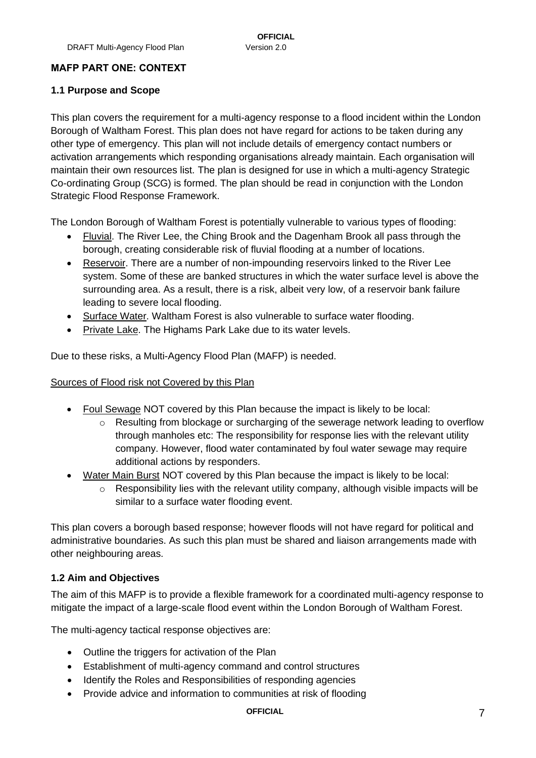#### <span id="page-6-0"></span>**MAFP PART ONE: CONTEXT**

#### <span id="page-6-1"></span>**1.1 Purpose and Scope**

This plan covers the requirement for a multi-agency response to a flood incident within the London Borough of Waltham Forest. This plan does not have regard for actions to be taken during any other type of emergency. This plan will not include details of emergency contact numbers or activation arrangements which responding organisations already maintain. Each organisation will maintain their own resources list. The plan is designed for use in which a multi-agency Strategic Co-ordinating Group (SCG) is formed. The plan should be read in conjunction with the London Strategic Flood Response Framework.

The London Borough of Waltham Forest is potentially vulnerable to various types of flooding:

- Fluvial. The River Lee, the Ching Brook and the Dagenham Brook all pass through the borough, creating considerable risk of fluvial flooding at a number of locations.
- Reservoir. There are a number of non-impounding reservoirs linked to the River Lee system. Some of these are banked structures in which the water surface level is above the surrounding area. As a result, there is a risk, albeit very low, of a reservoir bank failure leading to severe local flooding.
- Surface Water. Waltham Forest is also vulnerable to surface water flooding.
- Private Lake. The Highams Park Lake due to its water levels.

Due to these risks, a Multi-Agency Flood Plan (MAFP) is needed.

#### Sources of Flood risk not Covered by this Plan

- Foul Sewage NOT covered by this Plan because the impact is likely to be local:
	- $\circ$  Resulting from blockage or surcharging of the sewerage network leading to overflow through manholes etc: The responsibility for response lies with the relevant utility company. However, flood water contaminated by foul water sewage may require additional actions by responders.
- Water Main Burst NOT covered by this Plan because the impact is likely to be local:
	- o Responsibility lies with the relevant utility company, although visible impacts will be similar to a surface water flooding event.

This plan covers a borough based response; however floods will not have regard for political and administrative boundaries. As such this plan must be shared and liaison arrangements made with other neighbouring areas.

#### <span id="page-6-2"></span>**1.2 Aim and Objectives**

The aim of this MAFP is to provide a flexible framework for a coordinated multi-agency response to mitigate the impact of a large-scale flood event within the London Borough of Waltham Forest.

The multi-agency tactical response objectives are:

- Outline the triggers for activation of the Plan
- Establishment of multi-agency command and control structures
- Identify the Roles and Responsibilities of responding agencies
- Provide advice and information to communities at risk of flooding

#### **OFFICIAL** 7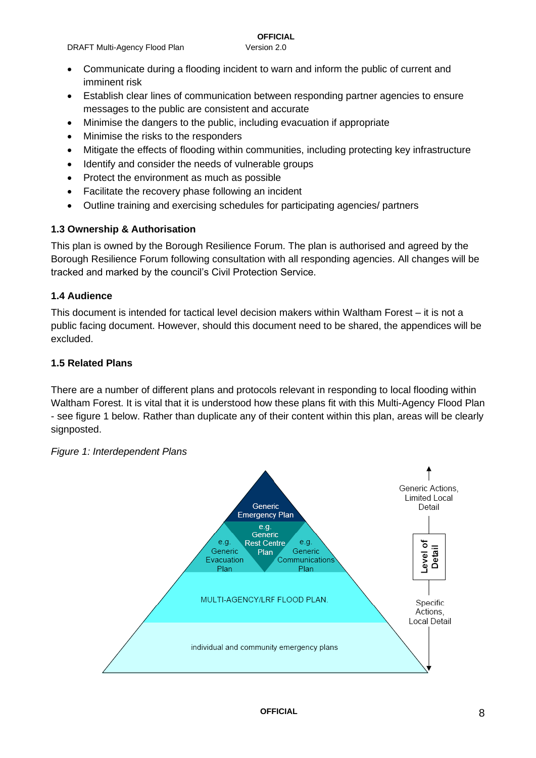#### • Communicate during a flooding incident to warn and inform the public of current and imminent risk

- Establish clear lines of communication between responding partner agencies to ensure messages to the public are consistent and accurate
- Minimise the dangers to the public, including evacuation if appropriate
- Minimise the risks to the responders
- Mitigate the effects of flooding within communities, including protecting key infrastructure
- Identify and consider the needs of vulnerable groups
- Protect the environment as much as possible
- Facilitate the recovery phase following an incident
- Outline training and exercising schedules for participating agencies/ partners

#### <span id="page-7-0"></span>**1.3 Ownership & Authorisation**

This plan is owned by the Borough Resilience Forum. The plan is authorised and agreed by the Borough Resilience Forum following consultation with all responding agencies. All changes will be tracked and marked by the council's Civil Protection Service.

#### <span id="page-7-1"></span>**1.4 Audience**

This document is intended for tactical level decision makers within Waltham Forest – it is not a public facing document. However, should this document need to be shared, the appendices will be excluded.

#### <span id="page-7-2"></span>**1.5 Related Plans**

There are a number of different plans and protocols relevant in responding to local flooding within Waltham Forest. It is vital that it is understood how these plans fit with this Multi-Agency Flood Plan - see figure 1 below. Rather than duplicate any of their content within this plan, areas will be clearly signposted.

#### *Figure 1: Interdependent Plans*

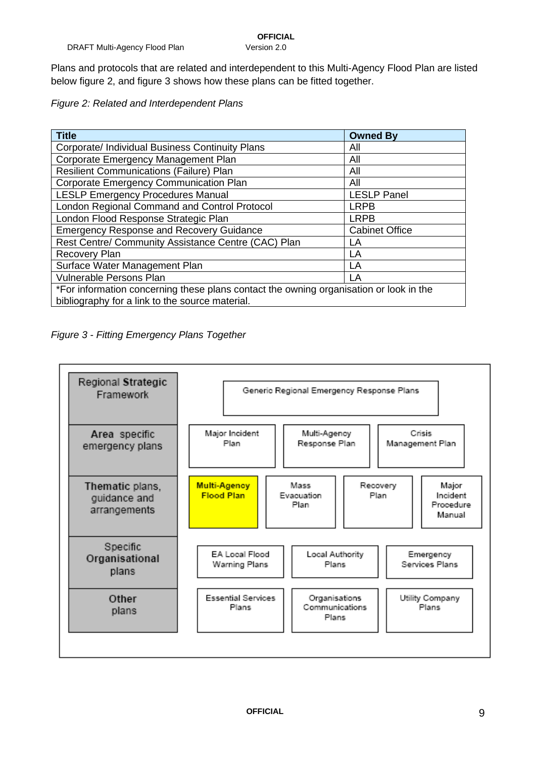Plans and protocols that are related and interdependent to this Multi-Agency Flood Plan are listed below figure 2, and figure 3 shows how these plans can be fitted together.

*Figure 2: Related and Interdependent Plans*

| <b>Title</b>                                                                           | <b>Owned By</b>    |  |
|----------------------------------------------------------------------------------------|--------------------|--|
| Corporate/ Individual Business Continuity Plans                                        | All                |  |
| Corporate Emergency Management Plan                                                    | All                |  |
| <b>Resilient Communications (Failure) Plan</b>                                         | All                |  |
| Corporate Emergency Communication Plan                                                 | All                |  |
| <b>LESLP Emergency Procedures Manual</b>                                               | <b>LESLP Panel</b> |  |
| London Regional Command and Control Protocol                                           | <b>LRPB</b>        |  |
| London Flood Response Strategic Plan                                                   | <b>LRPB</b>        |  |
| <b>Emergency Response and Recovery Guidance</b><br><b>Cabinet Office</b>               |                    |  |
| Rest Centre/ Community Assistance Centre (CAC) Plan<br>LA                              |                    |  |
| <b>Recovery Plan</b>                                                                   | LA                 |  |
| Surface Water Management Plan                                                          | LA                 |  |
| <b>Vulnerable Persons Plan</b><br>I A                                                  |                    |  |
| *For information concerning these plans contact the owning organisation or look in the |                    |  |
| bibliography for a link to the source material.                                        |                    |  |



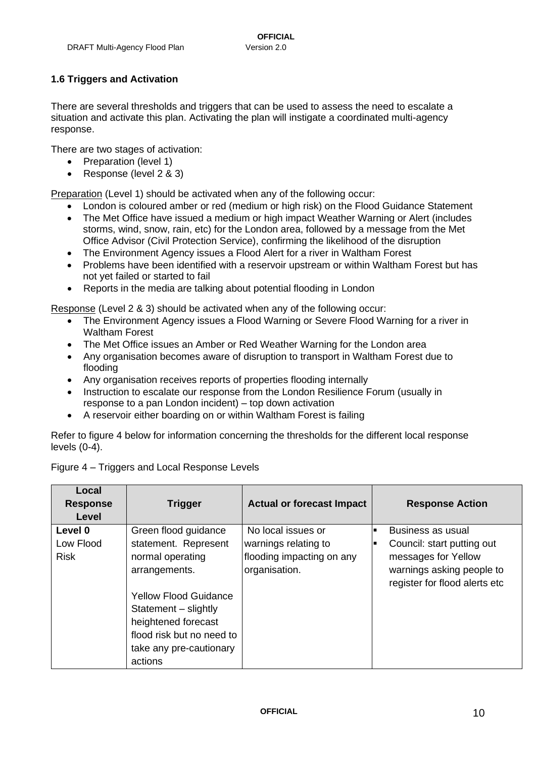#### <span id="page-9-0"></span>**1.6 Triggers and Activation**

There are several thresholds and triggers that can be used to assess the need to escalate a situation and activate this plan. Activating the plan will instigate a coordinated multi-agency response.

There are two stages of activation:

- Preparation (level 1)
- Response (level 2 & 3)

Preparation (Level 1) should be activated when any of the following occur:

- London is coloured amber or red (medium or high risk) on the Flood Guidance Statement
- The Met Office have issued a medium or high impact Weather Warning or Alert (includes storms, wind, snow, rain, etc) for the London area, followed by a message from the Met Office Advisor (Civil Protection Service), confirming the likelihood of the disruption
- The Environment Agency issues a Flood Alert for a river in Waltham Forest
- Problems have been identified with a reservoir upstream or within Waltham Forest but has not yet failed or started to fail
- Reports in the media are talking about potential flooding in London

Response (Level 2 & 3) should be activated when any of the following occur:

- The Environment Agency issues a Flood Warning or Severe Flood Warning for a river in Waltham Forest
- The Met Office issues an Amber or Red Weather Warning for the London area
- Any organisation becomes aware of disruption to transport in Waltham Forest due to flooding
- Any organisation receives reports of properties flooding internally
- Instruction to escalate our response from the London Resilience Forum (usually in response to a pan London incident) – top down activation
- A reservoir either boarding on or within Waltham Forest is failing

Refer to figure 4 below for information concerning the thresholds for the different local response levels (0-4).

| Local<br><b>Response</b><br>Level   | <b>Trigger</b>                                                                                                                                                                                                                      | <b>Actual or forecast Impact</b>                                                         | <b>Response Action</b>                                                                                                               |
|-------------------------------------|-------------------------------------------------------------------------------------------------------------------------------------------------------------------------------------------------------------------------------------|------------------------------------------------------------------------------------------|--------------------------------------------------------------------------------------------------------------------------------------|
| Level 0<br>Low Flood<br><b>Risk</b> | Green flood guidance<br>statement. Represent<br>normal operating<br>arrangements.<br><b>Yellow Flood Guidance</b><br>Statement - slightly<br>heightened forecast<br>flood risk but no need to<br>take any pre-cautionary<br>actions | No local issues or<br>warnings relating to<br>flooding impacting on any<br>organisation. | Business as usual<br>Council: start putting out<br>messages for Yellow<br>warnings asking people to<br>register for flood alerts etc |

Figure 4 – Triggers and Local Response Levels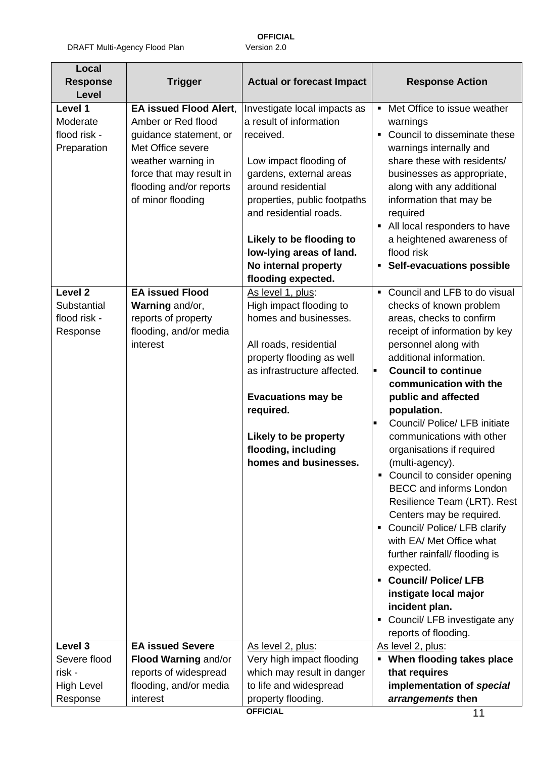| <b>Response</b>                     | <b>Trigger</b>                                      | <b>Actual or forecast Impact</b>                        | <b>Response Action</b>                                                    |
|-------------------------------------|-----------------------------------------------------|---------------------------------------------------------|---------------------------------------------------------------------------|
| <b>Level</b><br>Level 1<br>Moderate | <b>EA issued Flood Alert,</b><br>Amber or Red flood | Investigate local impacts as<br>a result of information | Met Office to issue weather<br>$\blacksquare$<br>warnings                 |
| flood risk -<br>Preparation         | guidance statement, or<br>Met Office severe         | received.                                               | Council to disseminate these<br>$\blacksquare$<br>warnings internally and |
|                                     | weather warning in<br>force that may result in      | Low impact flooding of<br>gardens, external areas       | share these with residents/<br>businesses as appropriate,                 |
|                                     | flooding and/or reports<br>of minor flooding        | around residential<br>properties, public footpaths      | along with any additional<br>information that may be                      |
|                                     |                                                     | and residential roads.                                  | required<br>• All local responders to have                                |
|                                     |                                                     | Likely to be flooding to<br>low-lying areas of land.    | a heightened awareness of<br>flood risk                                   |
|                                     |                                                     | No internal property                                    | • Self-evacuations possible                                               |
|                                     |                                                     | flooding expected.                                      |                                                                           |
| Level <sub>2</sub>                  | <b>EA issued Flood</b>                              | As level 1, plus:                                       | • Council and LFB to do visual                                            |
| Substantial                         | Warning and/or,                                     | High impact flooding to                                 | checks of known problem                                                   |
| flood risk -                        | reports of property                                 | homes and businesses.                                   | areas, checks to confirm                                                  |
| Response                            | flooding, and/or media<br>interest                  | All roads, residential                                  | receipt of information by key<br>personnel along with                     |
|                                     |                                                     | property flooding as well                               | additional information.                                                   |
|                                     |                                                     | as infrastructure affected.                             | <b>Council to continue</b>                                                |
|                                     |                                                     |                                                         | communication with the                                                    |
|                                     |                                                     | <b>Evacuations may be</b>                               | public and affected                                                       |
|                                     |                                                     | required.                                               | population.                                                               |
|                                     |                                                     |                                                         | Council/ Police/ LFB initiate<br>Н                                        |
|                                     |                                                     | Likely to be property<br>flooding, including            | communications with other<br>organisations if required                    |
|                                     |                                                     | homes and businesses.                                   | (multi-agency).                                                           |
|                                     |                                                     |                                                         | • Council to consider opening                                             |
|                                     |                                                     |                                                         | <b>BECC</b> and informs London<br>Resilience Team (LRT). Rest             |
|                                     |                                                     |                                                         | Centers may be required.                                                  |
|                                     |                                                     |                                                         | Council/ Police/ LFB clarify<br>٠<br>with EA/ Met Office what             |
|                                     |                                                     |                                                         | further rainfall/ flooding is<br>expected.                                |
|                                     |                                                     |                                                         | • Council/ Police/ LFB                                                    |
|                                     |                                                     |                                                         | instigate local major<br>incident plan.                                   |
|                                     |                                                     |                                                         | Council/ LFB investigate any<br>٠                                         |
|                                     |                                                     |                                                         | reports of flooding.                                                      |
| Level 3                             | <b>EA issued Severe</b>                             | As level 2, plus:                                       | As level 2, plus:                                                         |
| Severe flood                        | Flood Warning and/or                                | Very high impact flooding                               | • When flooding takes place                                               |
| risk -                              | reports of widespread                               | which may result in danger                              | that requires                                                             |
| <b>High Level</b>                   | flooding, and/or media                              | to life and widespread                                  | implementation of special                                                 |
| Response                            | interest                                            | property flooding.<br><b>OFFICIAL</b>                   | arrangements then<br>11                                                   |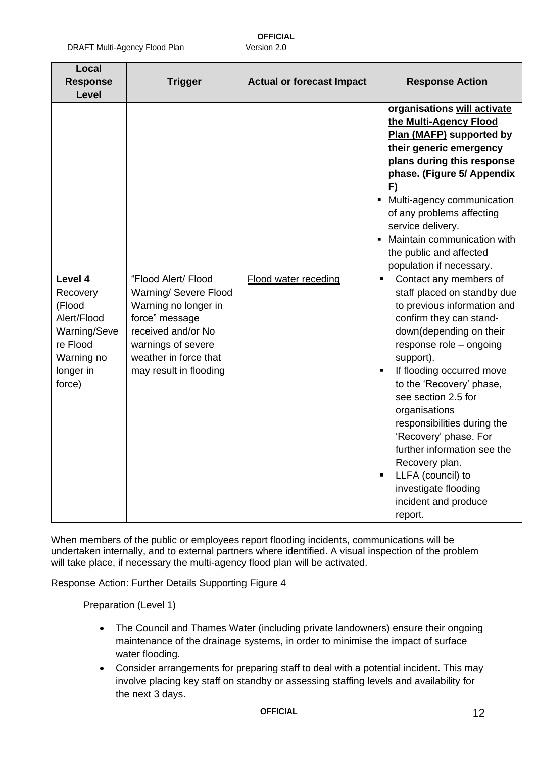DRAFT Multi-Agency Flood Plan Version 2.0

**OFFICIAL**

| Local<br><b>Response</b><br>Level                                                                             | <b>Trigger</b>                                                                                                                                                                        | <b>Actual or forecast Impact</b> | <b>Response Action</b>                                                                                                                                                                                                                                                                                                                                                                                                                                                       |
|---------------------------------------------------------------------------------------------------------------|---------------------------------------------------------------------------------------------------------------------------------------------------------------------------------------|----------------------------------|------------------------------------------------------------------------------------------------------------------------------------------------------------------------------------------------------------------------------------------------------------------------------------------------------------------------------------------------------------------------------------------------------------------------------------------------------------------------------|
|                                                                                                               |                                                                                                                                                                                       |                                  | organisations will activate<br>the Multi-Agency Flood<br>Plan (MAFP) supported by<br>their generic emergency<br>plans during this response<br>phase. (Figure 5/ Appendix<br>F)<br>Multi-agency communication<br>$\blacksquare$<br>of any problems affecting<br>service delivery.<br>Maintain communication with<br>the public and affected<br>population if necessary.                                                                                                       |
| Level 4<br>Recovery<br>(Flood<br>Alert/Flood<br>Warning/Seve<br>re Flood<br>Warning no<br>longer in<br>force) | "Flood Alert/ Flood<br>Warning/ Severe Flood<br>Warning no longer in<br>force" message<br>received and/or No<br>warnings of severe<br>weather in force that<br>may result in flooding | <b>Flood water receding</b>      | Contact any members of<br>staff placed on standby due<br>to previous information and<br>confirm they can stand-<br>down(depending on their<br>response role - ongoing<br>support).<br>If flooding occurred move<br>to the 'Recovery' phase,<br>see section 2.5 for<br>organisations<br>responsibilities during the<br>'Recovery' phase. For<br>further information see the<br>Recovery plan.<br>LLFA (council) to<br>investigate flooding<br>incident and produce<br>report. |

When members of the public or employees report flooding incidents, communications will be undertaken internally, and to external partners where identified. A visual inspection of the problem will take place, if necessary the multi-agency flood plan will be activated.

Response Action: Further Details Supporting Figure 4

#### Preparation (Level 1)

- The Council and Thames Water (including private landowners) ensure their ongoing maintenance of the drainage systems, in order to minimise the impact of surface water flooding.
- Consider arrangements for preparing staff to deal with a potential incident. This may involve placing key staff on standby or assessing staffing levels and availability for the next 3 days.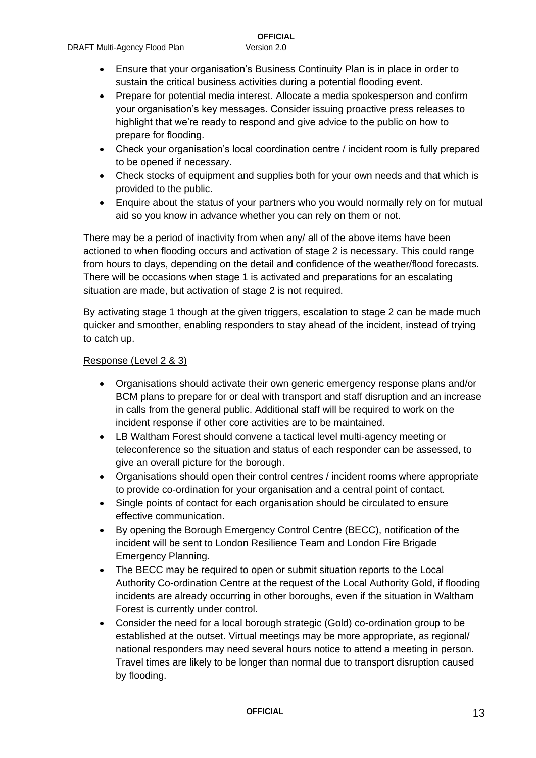- Ensure that your organisation's Business Continuity Plan is in place in order to sustain the critical business activities during a potential flooding event.
- Prepare for potential media interest. Allocate a media spokesperson and confirm your organisation's key messages. Consider issuing proactive press releases to highlight that we're ready to respond and give advice to the public on how to prepare for flooding.
- Check your organisation's local coordination centre / incident room is fully prepared to be opened if necessary.
- Check stocks of equipment and supplies both for your own needs and that which is provided to the public.
- Enquire about the status of your partners who you would normally rely on for mutual aid so you know in advance whether you can rely on them or not.

There may be a period of inactivity from when any/ all of the above items have been actioned to when flooding occurs and activation of stage 2 is necessary. This could range from hours to days, depending on the detail and confidence of the weather/flood forecasts. There will be occasions when stage 1 is activated and preparations for an escalating situation are made, but activation of stage 2 is not required.

By activating stage 1 though at the given triggers, escalation to stage 2 can be made much quicker and smoother, enabling responders to stay ahead of the incident, instead of trying to catch up.

#### Response (Level 2 & 3)

- Organisations should activate their own generic emergency response plans and/or BCM plans to prepare for or deal with transport and staff disruption and an increase in calls from the general public. Additional staff will be required to work on the incident response if other core activities are to be maintained.
- LB Waltham Forest should convene a tactical level multi-agency meeting or teleconference so the situation and status of each responder can be assessed, to give an overall picture for the borough.
- Organisations should open their control centres / incident rooms where appropriate to provide co-ordination for your organisation and a central point of contact.
- Single points of contact for each organisation should be circulated to ensure effective communication.
- By opening the Borough Emergency Control Centre (BECC), notification of the incident will be sent to London Resilience Team and London Fire Brigade Emergency Planning.
- The BECC may be required to open or submit situation reports to the Local Authority Co-ordination Centre at the request of the Local Authority Gold, if flooding incidents are already occurring in other boroughs, even if the situation in Waltham Forest is currently under control.
- Consider the need for a local borough strategic (Gold) co-ordination group to be established at the outset. Virtual meetings may be more appropriate, as regional/ national responders may need several hours notice to attend a meeting in person. Travel times are likely to be longer than normal due to transport disruption caused by flooding.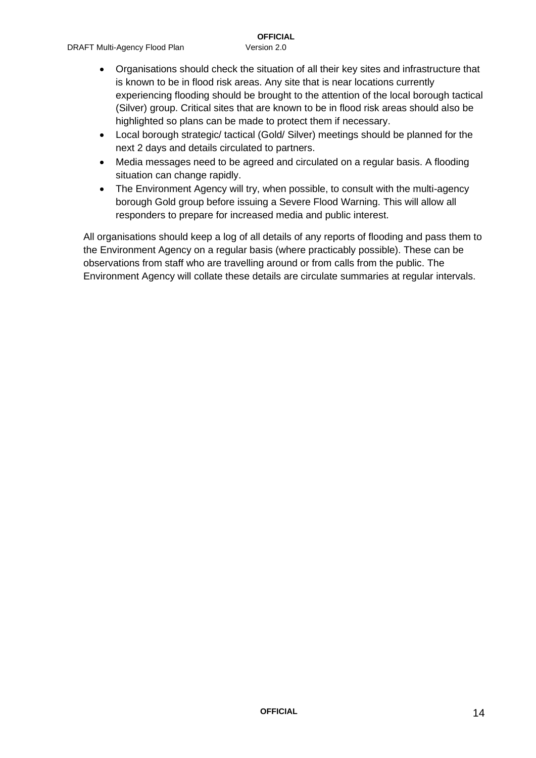- Organisations should check the situation of all their key sites and infrastructure that is known to be in flood risk areas. Any site that is near locations currently experiencing flooding should be brought to the attention of the local borough tactical (Silver) group. Critical sites that are known to be in flood risk areas should also be highlighted so plans can be made to protect them if necessary.
- Local borough strategic/ tactical (Gold/ Silver) meetings should be planned for the next 2 days and details circulated to partners.
- Media messages need to be agreed and circulated on a regular basis. A flooding situation can change rapidly.
- The Environment Agency will try, when possible, to consult with the multi-agency borough Gold group before issuing a Severe Flood Warning. This will allow all responders to prepare for increased media and public interest.

All organisations should keep a log of all details of any reports of flooding and pass them to the Environment Agency on a regular basis (where practicably possible). These can be observations from staff who are travelling around or from calls from the public. The Environment Agency will collate these details are circulate summaries at regular intervals.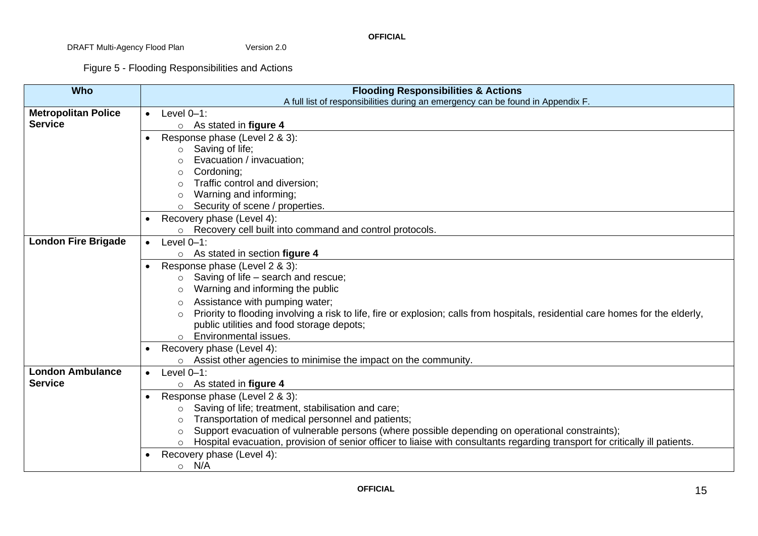Figure 5 - Flooding Responsibilities and Actions

| <b>Who</b>                 | <b>Flooding Responsibilities &amp; Actions</b>                                                                                          |  |
|----------------------------|-----------------------------------------------------------------------------------------------------------------------------------------|--|
|                            | A full list of responsibilities during an emergency can be found in Appendix F.                                                         |  |
| <b>Metropolitan Police</b> | Level $0-1$ :<br>$\bullet$                                                                                                              |  |
| <b>Service</b>             | $\circ$ As stated in figure 4                                                                                                           |  |
|                            | Response phase (Level 2 & 3):<br>$\bullet$                                                                                              |  |
|                            | Saving of life;<br>$\circ$                                                                                                              |  |
|                            | Evacuation / invacuation;                                                                                                               |  |
|                            | Cordoning;<br>$\circ$                                                                                                                   |  |
|                            | Traffic control and diversion;                                                                                                          |  |
|                            | Warning and informing;                                                                                                                  |  |
|                            | Security of scene / properties.                                                                                                         |  |
|                            | Recovery phase (Level 4):                                                                                                               |  |
|                            | Recovery cell built into command and control protocols.                                                                                 |  |
| <b>London Fire Brigade</b> | Level $0-1$ :                                                                                                                           |  |
|                            | $\circ$ As stated in section figure 4                                                                                                   |  |
|                            | Response phase (Level 2 & 3):                                                                                                           |  |
|                            | Saving of life – search and rescue;<br>$\circ$                                                                                          |  |
|                            | Warning and informing the public<br>$\circ$                                                                                             |  |
|                            | Assistance with pumping water;                                                                                                          |  |
|                            | Priority to flooding involving a risk to life, fire or explosion; calls from hospitals, residential care homes for the elderly,         |  |
|                            | public utilities and food storage depots;                                                                                               |  |
|                            | Environmental issues.<br>$\circ$                                                                                                        |  |
|                            | Recovery phase (Level 4):                                                                                                               |  |
|                            | o Assist other agencies to minimise the impact on the community.                                                                        |  |
| <b>London Ambulance</b>    | Level $0-1$ :                                                                                                                           |  |
| <b>Service</b>             | As stated in figure 4<br>$\circ$                                                                                                        |  |
|                            | Response phase (Level 2 & 3):<br>$\bullet$                                                                                              |  |
|                            | Saving of life; treatment, stabilisation and care;<br>$\circ$                                                                           |  |
|                            | Transportation of medical personnel and patients;<br>$\circ$                                                                            |  |
|                            | Support evacuation of vulnerable persons (where possible depending on operational constraints);<br>$\circ$                              |  |
|                            | Hospital evacuation, provision of senior officer to liaise with consultants regarding transport for critically ill patients.<br>$\circ$ |  |
|                            | Recovery phase (Level 4):                                                                                                               |  |
|                            | N/A<br>$\circ$                                                                                                                          |  |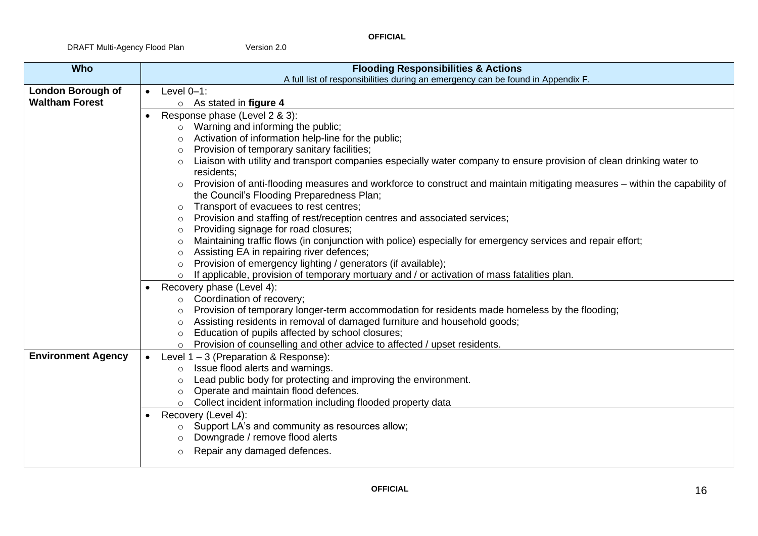| <b>Who</b>                | <b>Flooding Responsibilities &amp; Actions</b> |                                                                                                                                       |
|---------------------------|------------------------------------------------|---------------------------------------------------------------------------------------------------------------------------------------|
|                           |                                                | A full list of responsibilities during an emergency can be found in Appendix F.                                                       |
| <b>London Borough of</b>  | $\bullet$                                      | Level $0-1$ :                                                                                                                         |
| <b>Waltham Forest</b>     |                                                | $\circ$ As stated in figure 4                                                                                                         |
|                           |                                                | Response phase (Level 2 & 3):                                                                                                         |
|                           |                                                | Warning and informing the public;<br>$\circ$                                                                                          |
|                           |                                                | Activation of information help-line for the public;<br>$\circ$                                                                        |
|                           |                                                | Provision of temporary sanitary facilities;<br>$\circ$                                                                                |
|                           |                                                | Liaison with utility and transport companies especially water company to ensure provision of clean drinking water to<br>$\circ$       |
|                           |                                                | residents;                                                                                                                            |
|                           |                                                | Provision of anti-flooding measures and workforce to construct and maintain mitigating measures – within the capability of<br>$\circ$ |
|                           |                                                | the Council's Flooding Preparedness Plan;                                                                                             |
|                           |                                                | Transport of evacuees to rest centres;<br>$\circ$                                                                                     |
|                           |                                                | Provision and staffing of rest/reception centres and associated services;<br>$\circ$                                                  |
|                           |                                                | Providing signage for road closures;<br>$\circ$                                                                                       |
|                           |                                                | Maintaining traffic flows (in conjunction with police) especially for emergency services and repair effort;<br>$\circ$                |
|                           |                                                | Assisting EA in repairing river defences;<br>$\circ$                                                                                  |
|                           |                                                | Provision of emergency lighting / generators (if available);<br>$\circ$                                                               |
|                           |                                                | If applicable, provision of temporary mortuary and / or activation of mass fatalities plan.<br>$\circ$                                |
|                           |                                                | Recovery phase (Level 4):                                                                                                             |
|                           |                                                | Coordination of recovery;<br>$\circ$                                                                                                  |
|                           |                                                | Provision of temporary longer-term accommodation for residents made homeless by the flooding;<br>$\circ$                              |
|                           |                                                | Assisting residents in removal of damaged furniture and household goods;<br>$\circ$                                                   |
|                           |                                                | Education of pupils affected by school closures;                                                                                      |
|                           |                                                | Provision of counselling and other advice to affected / upset residents.<br>$\circ$                                                   |
| <b>Environment Agency</b> |                                                | Level $1 - 3$ (Preparation & Response):                                                                                               |
|                           |                                                | Issue flood alerts and warnings.<br>$\circ$                                                                                           |
|                           |                                                | Lead public body for protecting and improving the environment.<br>$\circ$                                                             |
|                           |                                                | Operate and maintain flood defences.<br>$\circ$                                                                                       |
|                           |                                                | Collect incident information including flooded property data<br>$\circ$                                                               |
|                           |                                                | Recovery (Level 4):                                                                                                                   |
|                           |                                                | Support LA's and community as resources allow;<br>$\circ$                                                                             |
|                           |                                                | Downgrade / remove flood alerts<br>$\circ$                                                                                            |
|                           |                                                | Repair any damaged defences.<br>$\circ$                                                                                               |
|                           |                                                |                                                                                                                                       |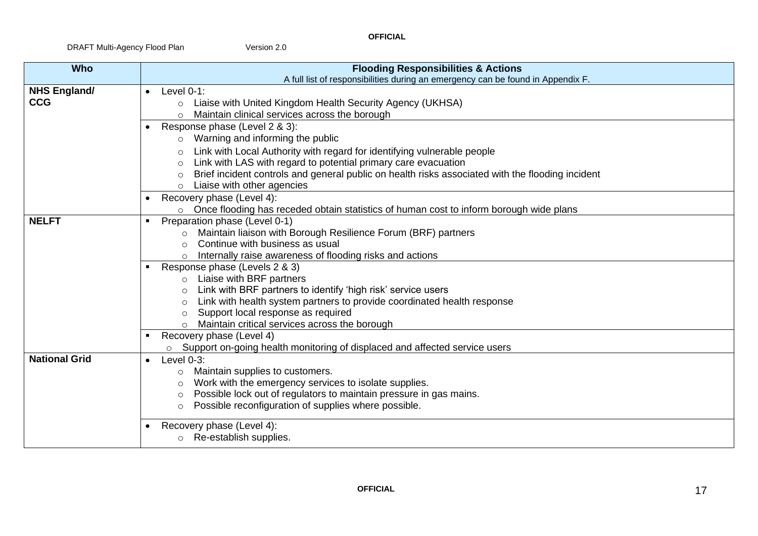| <b>Who</b>           | <b>Flooding Responsibilities &amp; Actions</b>                                                              |  |
|----------------------|-------------------------------------------------------------------------------------------------------------|--|
|                      | A full list of responsibilities during an emergency can be found in Appendix F.                             |  |
| <b>NHS England/</b>  | Level $0-1$ :                                                                                               |  |
| <b>CCG</b>           | Liaise with United Kingdom Health Security Agency (UKHSA)<br>$\circ$                                        |  |
|                      | Maintain clinical services across the borough<br>$\bigcap$                                                  |  |
|                      | Response phase (Level 2 & 3):                                                                               |  |
|                      | Warning and informing the public<br>$\circ$                                                                 |  |
|                      | Link with Local Authority with regard for identifying vulnerable people<br>$\circ$                          |  |
|                      | Link with LAS with regard to potential primary care evacuation<br>$\Omega$                                  |  |
|                      | Brief incident controls and general public on health risks associated with the flooding incident<br>$\circ$ |  |
|                      | Liaise with other agencies<br>$\Omega$                                                                      |  |
|                      | Recovery phase (Level 4):                                                                                   |  |
|                      | Once flooding has receded obtain statistics of human cost to inform borough wide plans<br>$\circ$           |  |
| <b>NELFT</b>         | Preparation phase (Level 0-1)                                                                               |  |
|                      | Maintain liaison with Borough Resilience Forum (BRF) partners<br>$\circ$                                    |  |
|                      | Continue with business as usual<br>$\circ$                                                                  |  |
|                      | Internally raise awareness of flooding risks and actions<br>$\circ$                                         |  |
|                      | Response phase (Levels 2 & 3)                                                                               |  |
|                      | Liaise with BRF partners<br>$\circ$                                                                         |  |
|                      | Link with BRF partners to identify 'high risk' service users<br>$\circ$                                     |  |
|                      | Link with health system partners to provide coordinated health response<br>$\circ$                          |  |
|                      | Support local response as required<br>$\circ$                                                               |  |
|                      | Maintain critical services across the borough<br>$\circ$                                                    |  |
|                      | Recovery phase (Level 4)                                                                                    |  |
|                      | Support on-going health monitoring of displaced and affected service users<br>$\circ$                       |  |
| <b>National Grid</b> | Level 0-3:<br>$\bullet$                                                                                     |  |
|                      | Maintain supplies to customers.<br>$\circ$                                                                  |  |
|                      | Work with the emergency services to isolate supplies.<br>$\circ$                                            |  |
|                      | Possible lock out of regulators to maintain pressure in gas mains.<br>$\circ$                               |  |
|                      | Possible reconfiguration of supplies where possible.<br>$\circ$                                             |  |
|                      | Recovery phase (Level 4):                                                                                   |  |
|                      | o Re-establish supplies.                                                                                    |  |
|                      |                                                                                                             |  |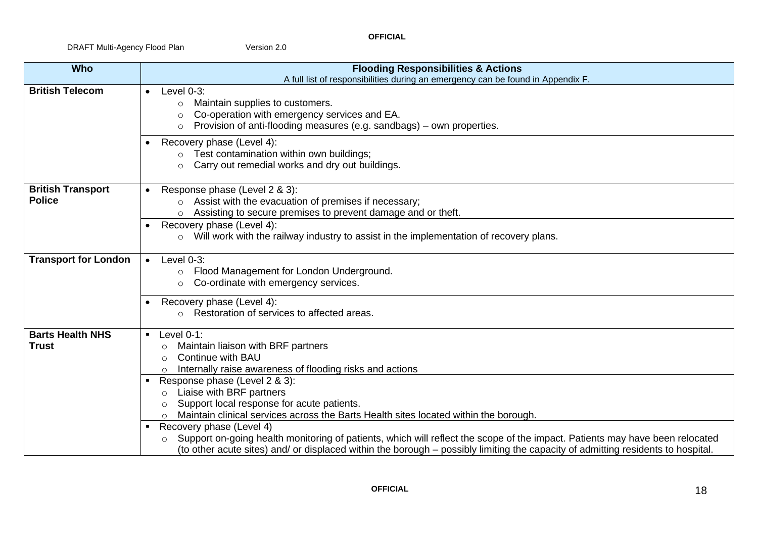| <b>Who</b>                                | <b>Flooding Responsibilities &amp; Actions</b>                                                                                                                                                                                                                                                                                                                                                                                                                                                                                                                                                                                                                                                                             |
|-------------------------------------------|----------------------------------------------------------------------------------------------------------------------------------------------------------------------------------------------------------------------------------------------------------------------------------------------------------------------------------------------------------------------------------------------------------------------------------------------------------------------------------------------------------------------------------------------------------------------------------------------------------------------------------------------------------------------------------------------------------------------------|
|                                           | A full list of responsibilities during an emergency can be found in Appendix F.                                                                                                                                                                                                                                                                                                                                                                                                                                                                                                                                                                                                                                            |
| <b>British Telecom</b>                    | Level $0-3$ :<br>Maintain supplies to customers.<br>$\circ$<br>Co-operation with emergency services and EA.<br>$\circ$<br>Provision of anti-flooding measures (e.g. sandbags) – own properties.<br>$\Omega$                                                                                                                                                                                                                                                                                                                                                                                                                                                                                                                |
|                                           | Recovery phase (Level 4):<br>Test contamination within own buildings;<br>$\circ$<br>Carry out remedial works and dry out buildings.<br>$\circ$                                                                                                                                                                                                                                                                                                                                                                                                                                                                                                                                                                             |
| <b>British Transport</b><br><b>Police</b> | Response phase (Level 2 & 3):<br>Assist with the evacuation of premises if necessary;<br>$\circ$<br>Assisting to secure premises to prevent damage and or theft.<br>$\circ$                                                                                                                                                                                                                                                                                                                                                                                                                                                                                                                                                |
|                                           | Recovery phase (Level 4):<br>Will work with the railway industry to assist in the implementation of recovery plans.<br>$\circ$                                                                                                                                                                                                                                                                                                                                                                                                                                                                                                                                                                                             |
| <b>Transport for London</b>               | Level 0-3:<br>$\bullet$<br>Flood Management for London Underground.<br>O<br>Co-ordinate with emergency services.<br>$\Omega$                                                                                                                                                                                                                                                                                                                                                                                                                                                                                                                                                                                               |
|                                           | Recovery phase (Level 4):<br>Restoration of services to affected areas.                                                                                                                                                                                                                                                                                                                                                                                                                                                                                                                                                                                                                                                    |
| <b>Barts Health NHS</b><br><b>Trust</b>   | Level $0-1$ :<br>$\blacksquare$<br>Maintain liaison with BRF partners<br><b>Continue with BAU</b><br>$\circ$<br>Internally raise awareness of flooding risks and actions<br>Response phase (Level 2 & 3):<br>$\blacksquare$<br>Liaise with BRF partners<br>$\circ$<br>Support local response for acute patients.<br>Maintain clinical services across the Barts Health sites located within the borough.<br>Recovery phase (Level 4)<br>$\blacksquare$<br>Support on-going health monitoring of patients, which will reflect the scope of the impact. Patients may have been relocated<br>(to other acute sites) and/ or displaced within the borough – possibly limiting the capacity of admitting residents to hospital. |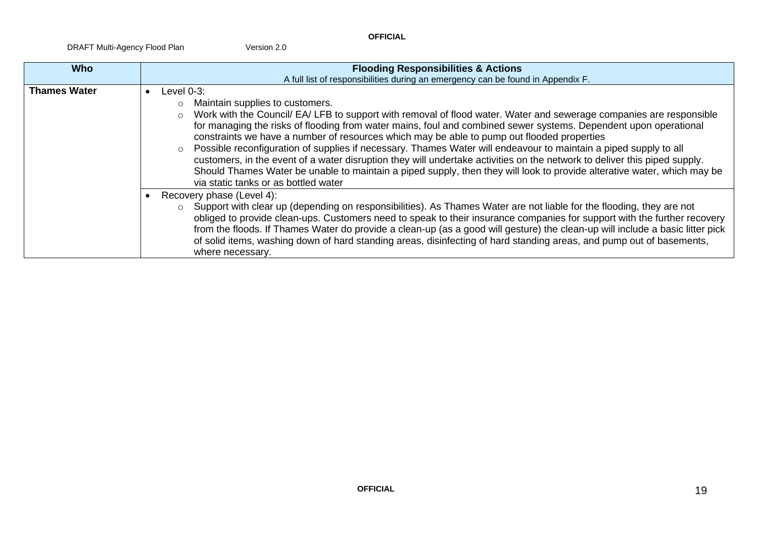| <b>Who</b>          | <b>Flooding Responsibilities &amp; Actions</b>                                                                                                                                                                                                                                                                                                                                                                                                                                                                                                                                                                                                                                                                                                                                                                                                                                                                                                                                                                                                                                                                                                                                                                                                                                                                                                                                                            |
|---------------------|-----------------------------------------------------------------------------------------------------------------------------------------------------------------------------------------------------------------------------------------------------------------------------------------------------------------------------------------------------------------------------------------------------------------------------------------------------------------------------------------------------------------------------------------------------------------------------------------------------------------------------------------------------------------------------------------------------------------------------------------------------------------------------------------------------------------------------------------------------------------------------------------------------------------------------------------------------------------------------------------------------------------------------------------------------------------------------------------------------------------------------------------------------------------------------------------------------------------------------------------------------------------------------------------------------------------------------------------------------------------------------------------------------------|
|                     | A full list of responsibilities during an emergency can be found in Appendix F.                                                                                                                                                                                                                                                                                                                                                                                                                                                                                                                                                                                                                                                                                                                                                                                                                                                                                                                                                                                                                                                                                                                                                                                                                                                                                                                           |
| <b>Thames Water</b> | Level $0-3$ :<br>Maintain supplies to customers.<br>Work with the Council/ EA/ LFB to support with removal of flood water. Water and sewerage companies are responsible<br>$\circ$<br>for managing the risks of flooding from water mains, foul and combined sewer systems. Dependent upon operational<br>constraints we have a number of resources which may be able to pump out flooded properties<br>Possible reconfiguration of supplies if necessary. Thames Water will endeavour to maintain a piped supply to all<br>$\circ$<br>customers, in the event of a water disruption they will undertake activities on the network to deliver this piped supply.<br>Should Thames Water be unable to maintain a piped supply, then they will look to provide alterative water, which may be<br>via static tanks or as bottled water<br>Recovery phase (Level 4):<br>$\circ$ Support with clear up (depending on responsibilities). As Thames Water are not liable for the flooding, they are not<br>obliged to provide clean-ups. Customers need to speak to their insurance companies for support with the further recovery<br>from the floods. If Thames Water do provide a clean-up (as a good will gesture) the clean-up will include a basic litter pick<br>of solid items, washing down of hard standing areas, disinfecting of hard standing areas, and pump out of basements,<br>where necessary. |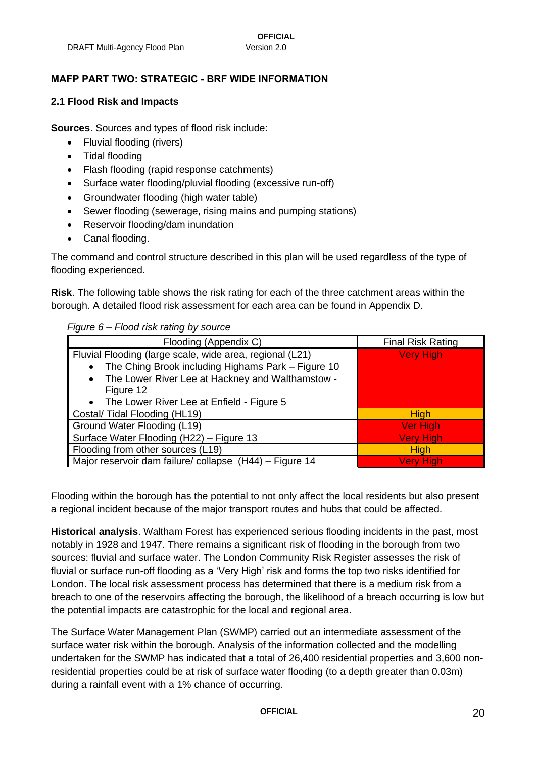#### <span id="page-19-0"></span>**MAFP PART TWO: STRATEGIC - BRF WIDE INFORMATION**

#### <span id="page-19-1"></span>**2.1 Flood Risk and Impacts**

**Sources**. Sources and types of flood risk include:

- Fluvial flooding (rivers)
- Tidal flooding
- Flash flooding (rapid response catchments)
- Surface water flooding/pluvial flooding (excessive run-off)
- Groundwater flooding (high water table)
- Sewer flooding (sewerage, rising mains and pumping stations)
- Reservoir flooding/dam inundation
- Canal flooding.

The command and control structure described in this plan will be used regardless of the type of flooding experienced.

**Risk**. The following table shows the risk rating for each of the three catchment areas within the borough. A detailed flood risk assessment for each area can be found in Appendix D.

#### *Figure 6 – Flood risk rating by source*

| Flooding (Appendix C)                                    | <b>Final Risk Rating</b> |
|----------------------------------------------------------|--------------------------|
| Fluvial Flooding (large scale, wide area, regional (L21) | <b>Very High</b>         |
| The Ching Brook including Highams Park - Figure 10       |                          |
| The Lower River Lee at Hackney and Walthamstow -         |                          |
| Figure 12                                                |                          |
| The Lower River Lee at Enfield - Figure 5                |                          |
| Costal/Tidal Flooding (HL19)                             | <b>High</b>              |
| Ground Water Flooding (L19)                              | <b>Ver High</b>          |
| Surface Water Flooding (H22) - Figure 13                 | <b>Very High</b>         |
| Flooding from other sources (L19)                        | <b>High</b>              |
| Major reservoir dam failure/collapse (H44) - Figure 14   | <b>Very High</b>         |

Flooding within the borough has the potential to not only affect the local residents but also present a regional incident because of the major transport routes and hubs that could be affected.

**Historical analysis**. Waltham Forest has experienced serious flooding incidents in the past, most notably in 1928 and 1947. There remains a significant risk of flooding in the borough from two sources: fluvial and surface water. The London Community Risk Register assesses the risk of fluvial or surface run-off flooding as a 'Very High' risk and forms the top two risks identified for London. The local risk assessment process has determined that there is a medium risk from a breach to one of the reservoirs affecting the borough, the likelihood of a breach occurring is low but the potential impacts are catastrophic for the local and regional area.

The Surface Water Management Plan (SWMP) carried out an intermediate assessment of the surface water risk within the borough. Analysis of the information collected and the modelling undertaken for the SWMP has indicated that a total of 26,400 residential properties and 3,600 nonresidential properties could be at risk of surface water flooding (to a depth greater than 0.03m) during a rainfall event with a 1% chance of occurring.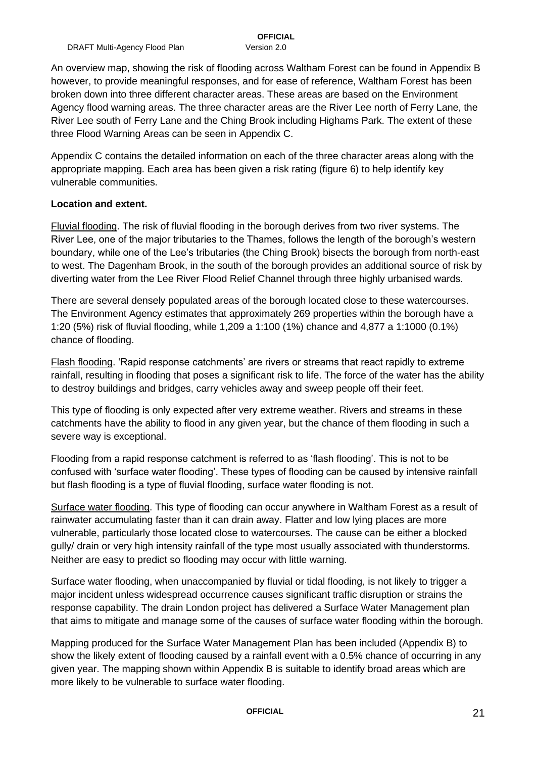An overview map, showing the risk of flooding across Waltham Forest can be found in Appendix B however, to provide meaningful responses, and for ease of reference, Waltham Forest has been broken down into three different character areas. These areas are based on the Environment Agency flood warning areas. The three character areas are the River Lee north of Ferry Lane, the River Lee south of Ferry Lane and the Ching Brook including Highams Park. The extent of these three Flood Warning Areas can be seen in Appendix C.

Appendix C contains the detailed information on each of the three character areas along with the appropriate mapping. Each area has been given a risk rating (figure 6) to help identify key vulnerable communities.

#### **Location and extent.**

Fluvial flooding. The risk of fluvial flooding in the borough derives from two river systems. The River Lee, one of the major tributaries to the Thames, follows the length of the borough's western boundary, while one of the Lee's tributaries (the Ching Brook) bisects the borough from north-east to west. The Dagenham Brook, in the south of the borough provides an additional source of risk by diverting water from the Lee River Flood Relief Channel through three highly urbanised wards.

There are several densely populated areas of the borough located close to these watercourses. The Environment Agency estimates that approximately 269 properties within the borough have a 1:20 (5%) risk of fluvial flooding, while 1,209 a 1:100 (1%) chance and 4,877 a 1:1000 (0.1%) chance of flooding.

Flash flooding. 'Rapid response catchments' are rivers or streams that react rapidly to extreme rainfall, resulting in flooding that poses a significant risk to life. The force of the water has the ability to destroy buildings and bridges, carry vehicles away and sweep people off their feet.

This type of flooding is only expected after very extreme weather. Rivers and streams in these catchments have the ability to flood in any given year, but the chance of them flooding in such a severe way is exceptional.

Flooding from a rapid response catchment is referred to as 'flash flooding'. This is not to be confused with 'surface water flooding'. These types of flooding can be caused by intensive rainfall but flash flooding is a type of fluvial flooding, surface water flooding is not.

Surface water flooding. This type of flooding can occur anywhere in Waltham Forest as a result of rainwater accumulating faster than it can drain away. Flatter and low lying places are more vulnerable, particularly those located close to watercourses. The cause can be either a blocked gully/ drain or very high intensity rainfall of the type most usually associated with thunderstorms. Neither are easy to predict so flooding may occur with little warning.

Surface water flooding, when unaccompanied by fluvial or tidal flooding, is not likely to trigger a major incident unless widespread occurrence causes significant traffic disruption or strains the response capability. The drain London project has delivered a Surface Water Management plan that aims to mitigate and manage some of the causes of surface water flooding within the borough.

Mapping produced for the Surface Water Management Plan has been included (Appendix B) to show the likely extent of flooding caused by a rainfall event with a 0.5% chance of occurring in any given year. The mapping shown within Appendix B is suitable to identify broad areas which are more likely to be vulnerable to surface water flooding.

**OFFICIAL** 21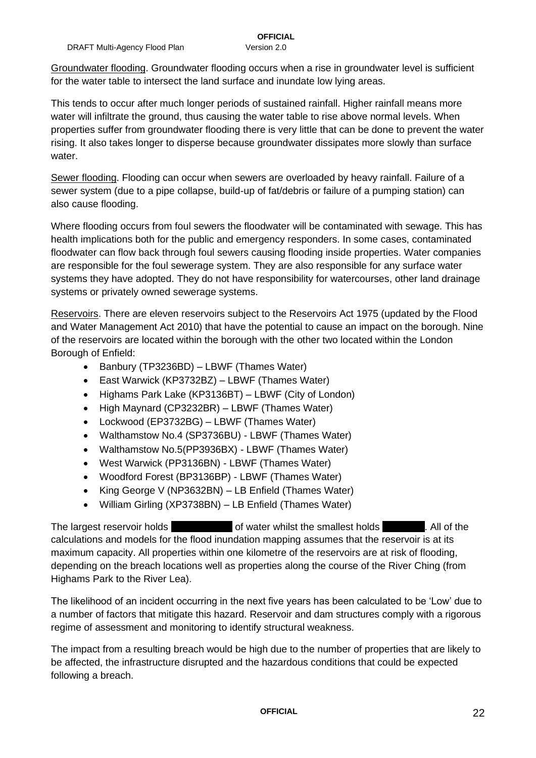Groundwater flooding. Groundwater flooding occurs when a rise in groundwater level is sufficient for the water table to intersect the land surface and inundate low lying areas.

This tends to occur after much longer periods of sustained rainfall. Higher rainfall means more water will infiltrate the ground, thus causing the water table to rise above normal levels. When properties suffer from groundwater flooding there is very little that can be done to prevent the water rising. It also takes longer to disperse because groundwater dissipates more slowly than surface water.

Sewer flooding. Flooding can occur when sewers are overloaded by heavy rainfall. Failure of a sewer system (due to a pipe collapse, build-up of fat/debris or failure of a pumping station) can also cause flooding.

Where flooding occurs from foul sewers the floodwater will be contaminated with sewage. This has health implications both for the public and emergency responders. In some cases, contaminated floodwater can flow back through foul sewers causing flooding inside properties. Water companies are responsible for the foul sewerage system. They are also responsible for any surface water systems they have adopted. They do not have responsibility for watercourses, other land drainage systems or privately owned sewerage systems.

Reservoirs. There are eleven reservoirs subject to the Reservoirs Act 1975 (updated by the Flood and Water Management Act 2010) that have the potential to cause an impact on the borough. Nine of the reservoirs are located within the borough with the other two located within the London Borough of Enfield:

- Banbury (TP3236BD) LBWF (Thames Water)
- East Warwick (KP3732BZ) LBWF (Thames Water)
- Highams Park Lake (KP3136BT) LBWF (City of London)
- High Maynard (CP3232BR) LBWF (Thames Water)
- Lockwood (EP3732BG) LBWF (Thames Water)
- Walthamstow No.4 (SP3736BU) LBWF (Thames Water)
- Walthamstow No.5(PP3936BX) LBWF (Thames Water)
- West Warwick (PP3136BN) LBWF (Thames Water)
- Woodford Forest (BP3136BP) LBWF (Thames Water)
- King George V (NP3632BN) LB Enfield (Thames Water)
- William Girling (XP3738BN) LB Enfield (Thames Water)

The largest reservoir holds 16,500 m3 of water whilst the smallest holds . All of the calculations and models for the flood inundation mapping assumes that the reservoir is at its maximum capacity. All properties within one kilometre of the reservoirs are at risk of flooding, depending on the breach locations well as properties along the course of the River Ching (from Highams Park to the River Lea).

The likelihood of an incident occurring in the next five years has been calculated to be 'Low' due to a number of factors that mitigate this hazard. Reservoir and dam structures comply with a rigorous regime of assessment and monitoring to identify structural weakness.

The impact from a resulting breach would be high due to the number of properties that are likely to be affected, the infrastructure disrupted and the hazardous conditions that could be expected following a breach.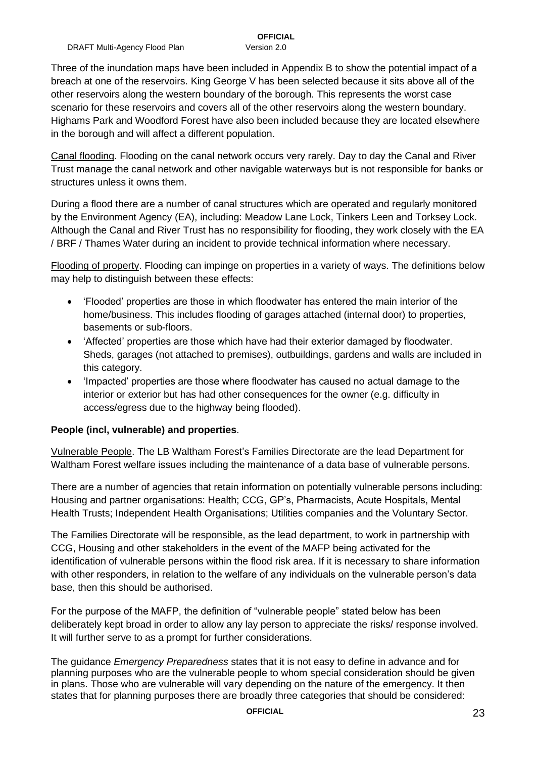Three of the inundation maps have been included in Appendix B to show the potential impact of a breach at one of the reservoirs. King George V has been selected because it sits above all of the other reservoirs along the western boundary of the borough. This represents the worst case scenario for these reservoirs and covers all of the other reservoirs along the western boundary. Highams Park and Woodford Forest have also been included because they are located elsewhere in the borough and will affect a different population.

Canal flooding. Flooding on the canal network occurs very rarely. Day to day the Canal and River Trust manage the canal network and other navigable waterways but is not responsible for banks or structures unless it owns them.

During a flood there are a number of canal structures which are operated and regularly monitored by the Environment Agency (EA), including: Meadow Lane Lock, Tinkers Leen and Torksey Lock. Although the Canal and River Trust has no responsibility for flooding, they work closely with the EA / BRF / Thames Water during an incident to provide technical information where necessary.

Flooding of property. Flooding can impinge on properties in a variety of ways. The definitions below may help to distinguish between these effects:

- 'Flooded' properties are those in which floodwater has entered the main interior of the home/business. This includes flooding of garages attached (internal door) to properties, basements or sub-floors.
- 'Affected' properties are those which have had their exterior damaged by floodwater. Sheds, garages (not attached to premises), outbuildings, gardens and walls are included in this category.
- 'Impacted' properties are those where floodwater has caused no actual damage to the interior or exterior but has had other consequences for the owner (e.g. difficulty in access/egress due to the highway being flooded).

#### **People (incl, vulnerable) and properties**.

Vulnerable People. The LB Waltham Forest's Families Directorate are the lead Department for Waltham Forest welfare issues including the maintenance of a data base of vulnerable persons.

There are a number of agencies that retain information on potentially vulnerable persons including: Housing and partner organisations: Health; CCG, GP's, Pharmacists, Acute Hospitals, Mental Health Trusts; Independent Health Organisations; Utilities companies and the Voluntary Sector.

The Families Directorate will be responsible, as the lead department, to work in partnership with CCG, Housing and other stakeholders in the event of the MAFP being activated for the identification of vulnerable persons within the flood risk area. If it is necessary to share information with other responders, in relation to the welfare of any individuals on the vulnerable person's data base, then this should be authorised.

For the purpose of the MAFP, the definition of "vulnerable people" stated below has been deliberately kept broad in order to allow any lay person to appreciate the risks/ response involved. It will further serve to as a prompt for further considerations.

The guidance *Emergency Preparedness* states that it is not easy to define in advance and for planning purposes who are the vulnerable people to whom special consideration should be given in plans. Those who are vulnerable will vary depending on the nature of the emergency. It then states that for planning purposes there are broadly three categories that should be considered:

### **OFFICIAL** 23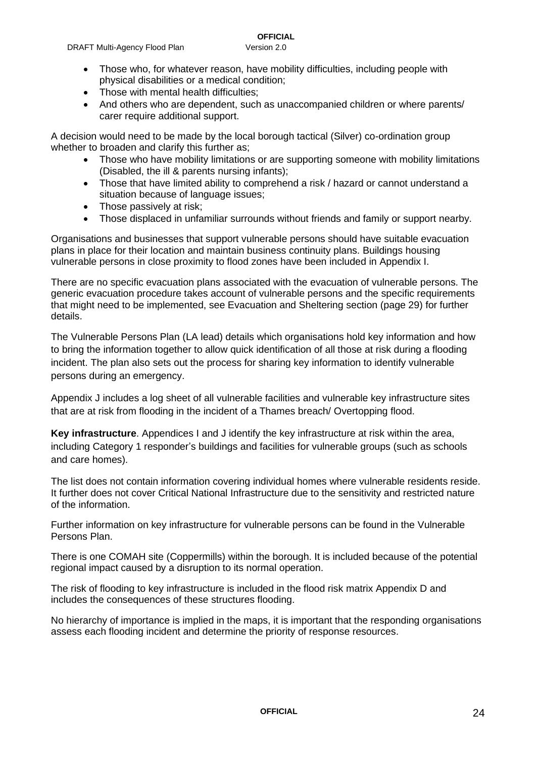- Those with mental health difficulties;
- And others who are dependent, such as unaccompanied children or where parents/ carer require additional support.

A decision would need to be made by the local borough tactical (Silver) co-ordination group whether to broaden and clarify this further as;

- Those who have mobility limitations or are supporting someone with mobility limitations (Disabled, the ill & parents nursing infants);
- Those that have limited ability to comprehend a risk / hazard or cannot understand a situation because of language issues;
- Those passively at risk;
- Those displaced in unfamiliar surrounds without friends and family or support nearby.

Organisations and businesses that support vulnerable persons should have suitable evacuation plans in place for their location and maintain business continuity plans. Buildings housing vulnerable persons in close proximity to flood zones have been included in Appendix I.

There are no specific evacuation plans associated with the evacuation of vulnerable persons. The generic evacuation procedure takes account of vulnerable persons and the specific requirements that might need to be implemented, see Evacuation and Sheltering section (page 29) for further details.

The Vulnerable Persons Plan (LA lead) details which organisations hold key information and how to bring the information together to allow quick identification of all those at risk during a flooding incident. The plan also sets out the process for sharing key information to identify vulnerable persons during an emergency.

Appendix J includes a log sheet of all vulnerable facilities and vulnerable key infrastructure sites that are at risk from flooding in the incident of a Thames breach/ Overtopping flood.

**Key infrastructure**. Appendices I and J identify the key infrastructure at risk within the area, including Category 1 responder's buildings and facilities for vulnerable groups (such as schools and care homes).

The list does not contain information covering individual homes where vulnerable residents reside. It further does not cover Critical National Infrastructure due to the sensitivity and restricted nature of the information.

Further information on key infrastructure for vulnerable persons can be found in the Vulnerable Persons Plan.

There is one COMAH site (Coppermills) within the borough. It is included because of the potential regional impact caused by a disruption to its normal operation.

The risk of flooding to key infrastructure is included in the flood risk matrix Appendix D and includes the consequences of these structures flooding.

No hierarchy of importance is implied in the maps, it is important that the responding organisations assess each flooding incident and determine the priority of response resources.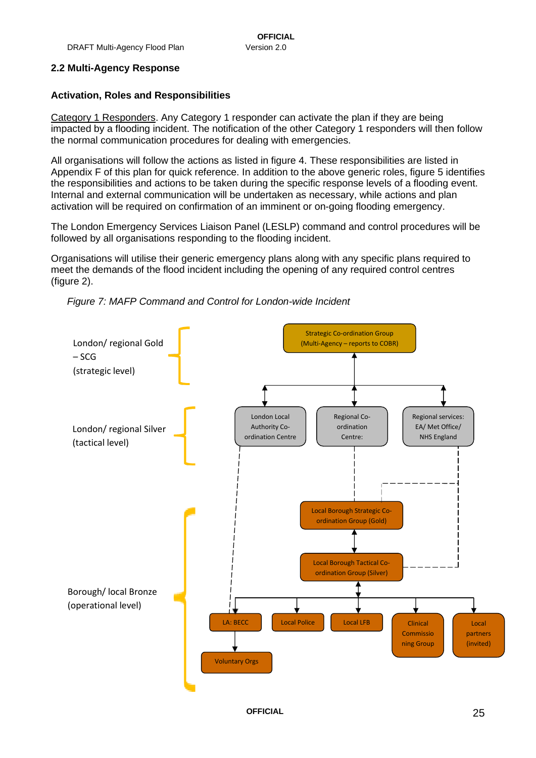#### <span id="page-24-0"></span>**2.2 Multi-Agency Response**

#### **Activation, Roles and Responsibilities**

Category 1 Responders. Any Category 1 responder can activate the plan if they are being impacted by a flooding incident. The notification of the other Category 1 responders will then follow the normal communication procedures for dealing with emergencies.

All organisations will follow the actions as listed in figure 4. These responsibilities are listed in Appendix F of this plan for quick reference. In addition to the above generic roles, figure 5 identifies the responsibilities and actions to be taken during the specific response levels of a flooding event. Internal and external communication will be undertaken as necessary, while actions and plan activation will be required on confirmation of an imminent or on-going flooding emergency.

The London Emergency Services Liaison Panel (LESLP) command and control procedures will be followed by all organisations responding to the flooding incident.

Organisations will utilise their generic emergency plans along with any specific plans required to meet the demands of the flood incident including the opening of any required control centres (figure 2).



*Figure 7: MAFP Command and Control for London-wide Incident*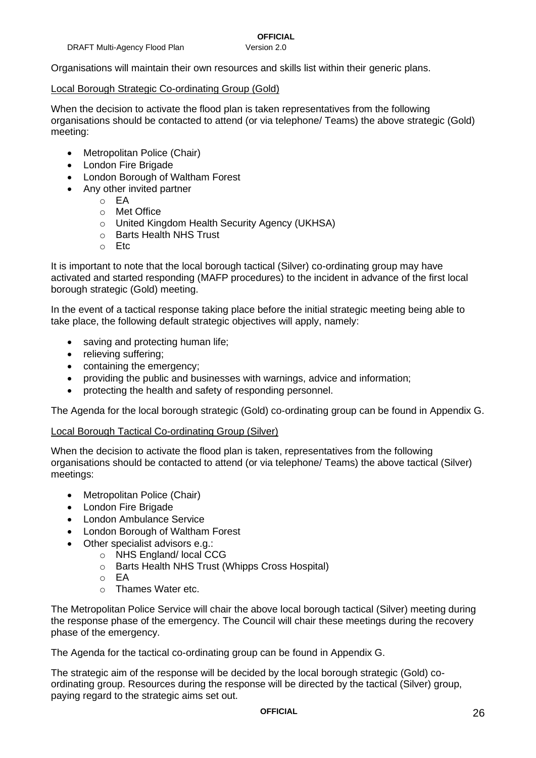Organisations will maintain their own resources and skills list within their generic plans.

#### Local Borough Strategic Co-ordinating Group (Gold)

When the decision to activate the flood plan is taken representatives from the following organisations should be contacted to attend (or via telephone/ Teams) the above strategic (Gold) meeting:

- Metropolitan Police (Chair)
- London Fire Brigade
- London Borough of Waltham Forest
- Any other invited partner
	- $\circ$  FA
		- o Met Office
		- o United Kingdom Health Security Agency (UKHSA)
		- o Barts Health NHS Trust
		- o Etc

It is important to note that the local borough tactical (Silver) co-ordinating group may have activated and started responding (MAFP procedures) to the incident in advance of the first local borough strategic (Gold) meeting.

In the event of a tactical response taking place before the initial strategic meeting being able to take place, the following default strategic objectives will apply, namely:

- saving and protecting human life;
- relieving suffering;
- containing the emergency;
- providing the public and businesses with warnings, advice and information;
- protecting the health and safety of responding personnel.

The Agenda for the local borough strategic (Gold) co-ordinating group can be found in Appendix G.

#### Local Borough Tactical Co-ordinating Group (Silver)

When the decision to activate the flood plan is taken, representatives from the following organisations should be contacted to attend (or via telephone/ Teams) the above tactical (Silver) meetings:

- Metropolitan Police (Chair)
- London Fire Brigade
- London Ambulance Service
- London Borough of Waltham Forest
- Other specialist advisors e.g.:
	- o NHS England/ local CCG
	- o Barts Health NHS Trust (Whipps Cross Hospital)
	- o EA
	- o Thames Water etc.

The Metropolitan Police Service will chair the above local borough tactical (Silver) meeting during the response phase of the emergency. The Council will chair these meetings during the recovery phase of the emergency.

The Agenda for the tactical co-ordinating group can be found in Appendix G.

The strategic aim of the response will be decided by the local borough strategic (Gold) coordinating group. Resources during the response will be directed by the tactical (Silver) group, paying regard to the strategic aims set out.

**OFFICIAL** 26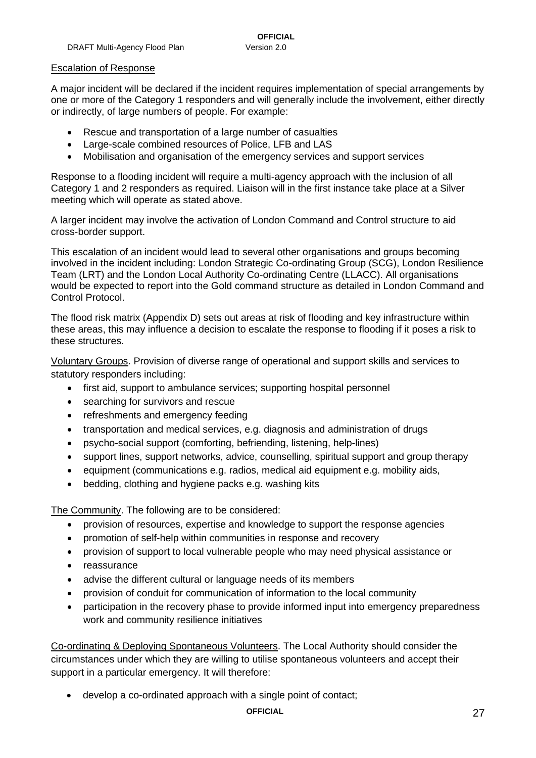#### Escalation of Response

A major incident will be declared if the incident requires implementation of special arrangements by one or more of the Category 1 responders and will generally include the involvement, either directly or indirectly, of large numbers of people. For example:

- Rescue and transportation of a large number of casualties
- Large-scale combined resources of Police, LFB and LAS
- Mobilisation and organisation of the emergency services and support services

Response to a flooding incident will require a multi-agency approach with the inclusion of all Category 1 and 2 responders as required. Liaison will in the first instance take place at a Silver meeting which will operate as stated above.

A larger incident may involve the activation of London Command and Control structure to aid cross-border support.

This escalation of an incident would lead to several other organisations and groups becoming involved in the incident including: London Strategic Co-ordinating Group (SCG), London Resilience Team (LRT) and the London Local Authority Co-ordinating Centre (LLACC). All organisations would be expected to report into the Gold command structure as detailed in London Command and Control Protocol.

The flood risk matrix (Appendix D) sets out areas at risk of flooding and key infrastructure within these areas, this may influence a decision to escalate the response to flooding if it poses a risk to these structures.

Voluntary Groups. Provision of diverse range of operational and support skills and services to statutory responders including:

- first aid, support to ambulance services; supporting hospital personnel
- searching for survivors and rescue
- refreshments and emergency feeding
- transportation and medical services, e.g. diagnosis and administration of drugs
- psycho-social support (comforting, befriending, listening, help-lines)
- support lines, support networks, advice, counselling, spiritual support and group therapy
- equipment (communications e.g. radios, medical aid equipment e.g. mobility aids,
- bedding, clothing and hygiene packs e.g. washing kits

The Community. The following are to be considered:

- provision of resources, expertise and knowledge to support the response agencies
- promotion of self-help within communities in response and recovery
- provision of support to local vulnerable people who may need physical assistance or
- reassurance
- advise the different cultural or language needs of its members
- provision of conduit for communication of information to the local community
- participation in the recovery phase to provide informed input into emergency preparedness work and community resilience initiatives

Co-ordinating & Deploying Spontaneous Volunteers. The Local Authority should consider the circumstances under which they are willing to utilise spontaneous volunteers and accept their support in a particular emergency. It will therefore:

• develop a co-ordinated approach with a single point of contact;

#### **OFFICIAL** 27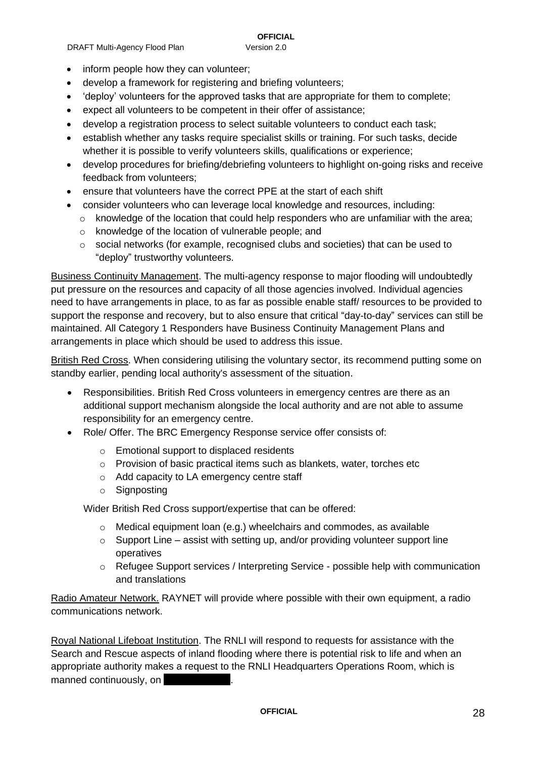#### • inform people how they can volunteer;

- develop a framework for registering and briefing volunteers;
- 'deploy' volunteers for the approved tasks that are appropriate for them to complete;
- expect all volunteers to be competent in their offer of assistance;
- develop a registration process to select suitable volunteers to conduct each task;
- establish whether any tasks require specialist skills or training. For such tasks, decide whether it is possible to verify volunteers skills, qualifications or experience;
- develop procedures for briefing/debriefing volunteers to highlight on-going risks and receive feedback from volunteers;
- ensure that volunteers have the correct PPE at the start of each shift
- consider volunteers who can leverage local knowledge and resources, including:
	- $\circ$  knowledge of the location that could help responders who are unfamiliar with the area;
	- o knowledge of the location of vulnerable people; and
	- $\circ$  social networks (for example, recognised clubs and societies) that can be used to "deploy" trustworthy volunteers.

Business Continuity Management. The multi-agency response to major flooding will undoubtedly put pressure on the resources and capacity of all those agencies involved. Individual agencies need to have arrangements in place, to as far as possible enable staff/ resources to be provided to support the response and recovery, but to also ensure that critical "day-to-day" services can still be maintained. All Category 1 Responders have Business Continuity Management Plans and arrangements in place which should be used to address this issue.

British Red Cross. When considering utilising the voluntary sector, its recommend putting some on standby earlier, pending local authority's assessment of the situation.

- Responsibilities. British Red Cross volunteers in emergency centres are there as an additional support mechanism alongside the local authority and are not able to assume responsibility for an emergency centre.
- Role/ Offer. The BRC Emergency Response service offer consists of:
	- o Emotional support to displaced residents
	- o Provision of basic practical items such as blankets, water, torches etc
	- o Add capacity to LA emergency centre staff
	- o Signposting

Wider British Red Cross support/expertise that can be offered:

- o Medical equipment loan (e.g.) wheelchairs and commodes, as available
- $\circ$  Support Line assist with setting up, and/or providing volunteer support line operatives
- o Refugee Support services / Interpreting Service possible help with communication and translations

Radio Amateur Network. RAYNET will provide where possible with their own equipment, a radio communications network.

Royal National Lifeboat Institution. The RNLI will respond to requests for assistance with the Search and Rescue aspects of inland flooding where there is potential risk to life and when an appropriate authority makes a request to the RNLI Headquarters Operations Room, which is manned continuously, on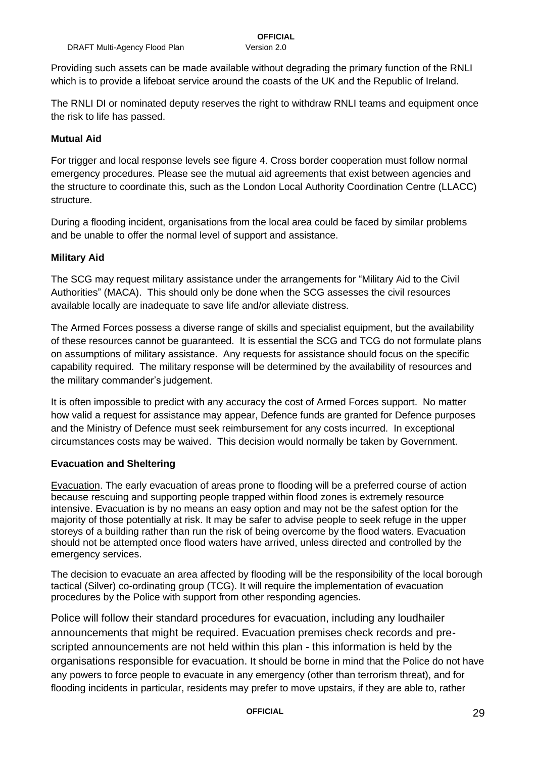Providing such assets can be made available without degrading the primary function of the RNLI which is to provide a lifeboat service around the coasts of the UK and the Republic of Ireland.

The RNLI DI or nominated deputy reserves the right to withdraw RNLI teams and equipment once the risk to life has passed.

#### **Mutual Aid**

For trigger and local response levels see figure 4. Cross border cooperation must follow normal emergency procedures. Please see the mutual aid agreements that exist between agencies and the structure to coordinate this, such as the London Local Authority Coordination Centre (LLACC) structure.

During a flooding incident, organisations from the local area could be faced by similar problems and be unable to offer the normal level of support and assistance.

#### **Military Aid**

The SCG may request military assistance under the arrangements for "Military Aid to the Civil Authorities" (MACA). This should only be done when the SCG assesses the civil resources available locally are inadequate to save life and/or alleviate distress.

The Armed Forces possess a diverse range of skills and specialist equipment, but the availability of these resources cannot be guaranteed. It is essential the SCG and TCG do not formulate plans on assumptions of military assistance. Any requests for assistance should focus on the specific capability required. The military response will be determined by the availability of resources and the military commander's judgement.

It is often impossible to predict with any accuracy the cost of Armed Forces support. No matter how valid a request for assistance may appear, Defence funds are granted for Defence purposes and the Ministry of Defence must seek reimbursement for any costs incurred. In exceptional circumstances costs may be waived. This decision would normally be taken by Government.

#### **Evacuation and Sheltering**

Evacuation. The early evacuation of areas prone to flooding will be a preferred course of action because rescuing and supporting people trapped within flood zones is extremely resource intensive. Evacuation is by no means an easy option and may not be the safest option for the majority of those potentially at risk. It may be safer to advise people to seek refuge in the upper storeys of a building rather than run the risk of being overcome by the flood waters. Evacuation should not be attempted once flood waters have arrived, unless directed and controlled by the emergency services.

The decision to evacuate an area affected by flooding will be the responsibility of the local borough tactical (Silver) co-ordinating group (TCG). It will require the implementation of evacuation procedures by the Police with support from other responding agencies.

Police will follow their standard procedures for evacuation, including any loudhailer announcements that might be required. Evacuation premises check records and prescripted announcements are not held within this plan - this information is held by the organisations responsible for evacuation. It should be borne in mind that the Police do not have any powers to force people to evacuate in any emergency (other than terrorism threat), and for flooding incidents in particular, residents may prefer to move upstairs, if they are able to, rather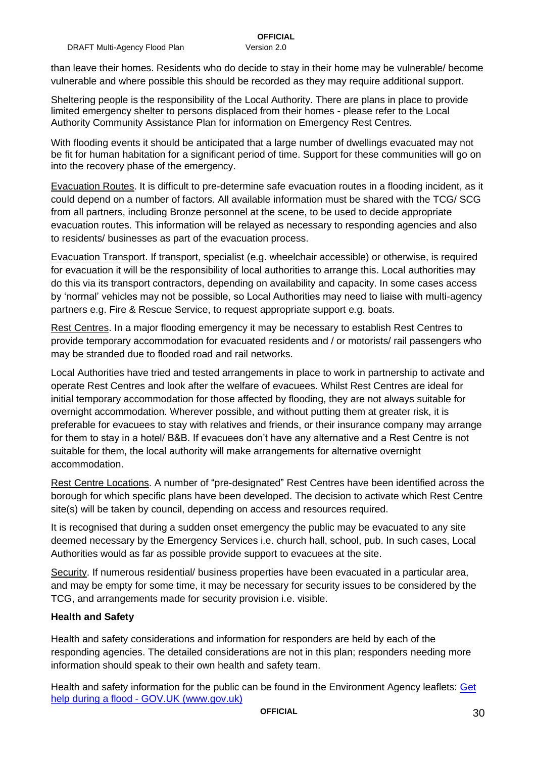than leave their homes. Residents who do decide to stay in their home may be vulnerable/ become vulnerable and where possible this should be recorded as they may require additional support.

Sheltering people is the responsibility of the Local Authority. There are plans in place to provide limited emergency shelter to persons displaced from their homes - please refer to the Local Authority Community Assistance Plan for information on Emergency Rest Centres.

With flooding events it should be anticipated that a large number of dwellings evacuated may not be fit for human habitation for a significant period of time. Support for these communities will go on into the recovery phase of the emergency.

Evacuation Routes. It is difficult to pre-determine safe evacuation routes in a flooding incident, as it could depend on a number of factors. All available information must be shared with the TCG/ SCG from all partners, including Bronze personnel at the scene, to be used to decide appropriate evacuation routes. This information will be relayed as necessary to responding agencies and also to residents/ businesses as part of the evacuation process.

Evacuation Transport. If transport, specialist (e.g. wheelchair accessible) or otherwise, is required for evacuation it will be the responsibility of local authorities to arrange this. Local authorities may do this via its transport contractors, depending on availability and capacity. In some cases access by 'normal' vehicles may not be possible, so Local Authorities may need to liaise with multi-agency partners e.g. Fire & Rescue Service, to request appropriate support e.g. boats.

Rest Centres. In a major flooding emergency it may be necessary to establish Rest Centres to provide temporary accommodation for evacuated residents and / or motorists/ rail passengers who may be stranded due to flooded road and rail networks.

Local Authorities have tried and tested arrangements in place to work in partnership to activate and operate Rest Centres and look after the welfare of evacuees. Whilst Rest Centres are ideal for initial temporary accommodation for those affected by flooding, they are not always suitable for overnight accommodation. Wherever possible, and without putting them at greater risk, it is preferable for evacuees to stay with relatives and friends, or their insurance company may arrange for them to stay in a hotel/ B&B. If evacuees don't have any alternative and a Rest Centre is not suitable for them, the local authority will make arrangements for alternative overnight accommodation.

Rest Centre Locations. A number of "pre-designated" Rest Centres have been identified across the borough for which specific plans have been developed. The decision to activate which Rest Centre site(s) will be taken by council, depending on access and resources required.

It is recognised that during a sudden onset emergency the public may be evacuated to any site deemed necessary by the Emergency Services i.e. church hall, school, pub. In such cases, Local Authorities would as far as possible provide support to evacuees at the site.

Security. If numerous residential/ business properties have been evacuated in a particular area, and may be empty for some time, it may be necessary for security issues to be considered by the TCG, and arrangements made for security provision i.e. visible.

#### **Health and Safety**

Health and safety considerations and information for responders are held by each of the responding agencies. The detailed considerations are not in this plan; responders needing more information should speak to their own health and safety team.

Health and safety information for the public can be found in the Environment Agency leaflets: [Get](https://www.gov.uk/help-during-flood)  [help during a flood -](https://www.gov.uk/help-during-flood) GOV.UK (www.gov.uk)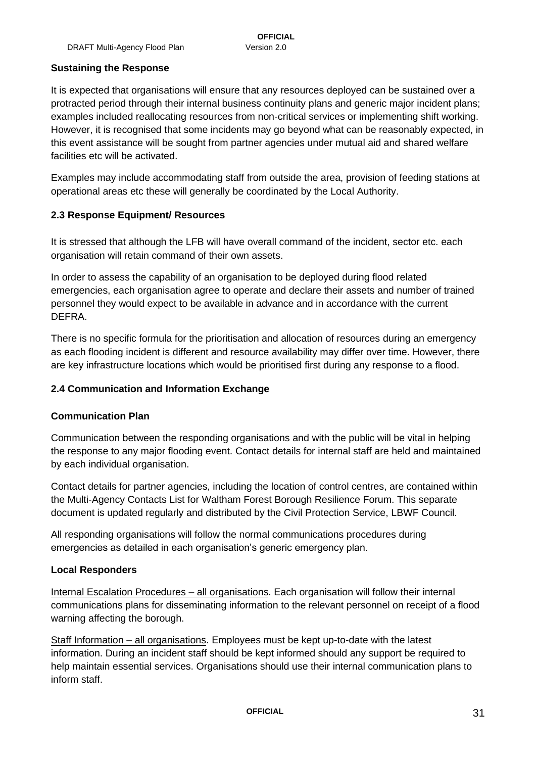#### **Sustaining the Response**

It is expected that organisations will ensure that any resources deployed can be sustained over a protracted period through their internal business continuity plans and generic major incident plans; examples included reallocating resources from non-critical services or implementing shift working. However, it is recognised that some incidents may go beyond what can be reasonably expected, in this event assistance will be sought from partner agencies under mutual aid and shared welfare facilities etc will be activated.

Examples may include accommodating staff from outside the area, provision of feeding stations at operational areas etc these will generally be coordinated by the Local Authority.

#### <span id="page-30-0"></span>**2.3 Response Equipment/ Resources**

It is stressed that although the LFB will have overall command of the incident, sector etc. each organisation will retain command of their own assets.

In order to assess the capability of an organisation to be deployed during flood related emergencies, each organisation agree to operate and declare their assets and number of trained personnel they would expect to be available in advance and in accordance with the current DEFRA.

There is no specific formula for the prioritisation and allocation of resources during an emergency as each flooding incident is different and resource availability may differ over time. However, there are key infrastructure locations which would be prioritised first during any response to a flood.

#### <span id="page-30-1"></span>**2.4 Communication and Information Exchange**

#### **Communication Plan**

Communication between the responding organisations and with the public will be vital in helping the response to any major flooding event. Contact details for internal staff are held and maintained by each individual organisation.

Contact details for partner agencies, including the location of control centres, are contained within the Multi-Agency Contacts List for Waltham Forest Borough Resilience Forum. This separate document is updated regularly and distributed by the Civil Protection Service, LBWF Council.

All responding organisations will follow the normal communications procedures during emergencies as detailed in each organisation's generic emergency plan.

#### **Local Responders**

Internal Escalation Procedures – all organisations. Each organisation will follow their internal communications plans for disseminating information to the relevant personnel on receipt of a flood warning affecting the borough.

Staff Information – all organisations. Employees must be kept up-to-date with the latest information. During an incident staff should be kept informed should any support be required to help maintain essential services. Organisations should use their internal communication plans to inform staff.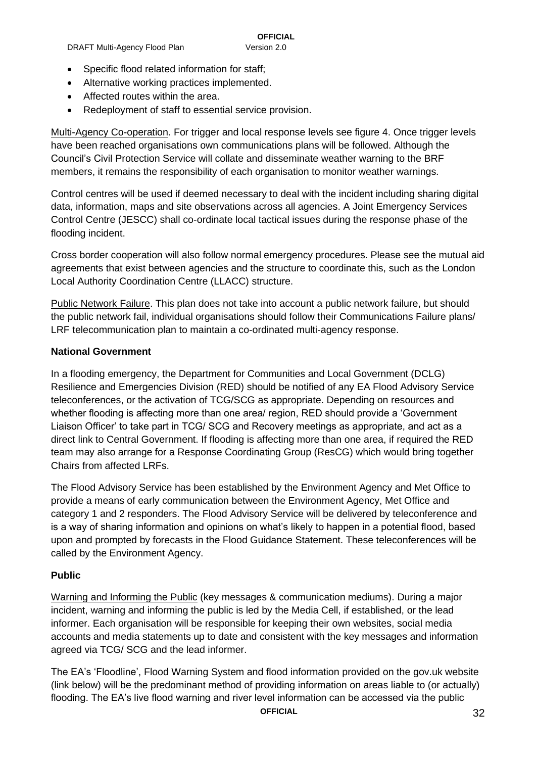- Alternative working practices implemented.
- Affected routes within the area.
- Redeployment of staff to essential service provision.

Multi-Agency Co-operation. For trigger and local response levels see figure 4. Once trigger levels have been reached organisations own communications plans will be followed. Although the Council's Civil Protection Service will collate and disseminate weather warning to the BRF members, it remains the responsibility of each organisation to monitor weather warnings.

Control centres will be used if deemed necessary to deal with the incident including sharing digital data, information, maps and site observations across all agencies. A Joint Emergency Services Control Centre (JESCC) shall co-ordinate local tactical issues during the response phase of the flooding incident.

Cross border cooperation will also follow normal emergency procedures. Please see the mutual aid agreements that exist between agencies and the structure to coordinate this, such as the London Local Authority Coordination Centre (LLACC) structure.

Public Network Failure. This plan does not take into account a public network failure, but should the public network fail, individual organisations should follow their Communications Failure plans/ LRF telecommunication plan to maintain a co-ordinated multi-agency response.

#### **National Government**

In a flooding emergency, the Department for Communities and Local Government (DCLG) Resilience and Emergencies Division (RED) should be notified of any EA Flood Advisory Service teleconferences, or the activation of TCG/SCG as appropriate. Depending on resources and whether flooding is affecting more than one area/ region, RED should provide a 'Government Liaison Officer' to take part in TCG/ SCG and Recovery meetings as appropriate, and act as a direct link to Central Government. If flooding is affecting more than one area, if required the RED team may also arrange for a Response Coordinating Group (ResCG) which would bring together Chairs from affected LRFs.

The Flood Advisory Service has been established by the Environment Agency and Met Office to provide a means of early communication between the Environment Agency, Met Office and category 1 and 2 responders. The Flood Advisory Service will be delivered by teleconference and is a way of sharing information and opinions on what's likely to happen in a potential flood, based upon and prompted by forecasts in the Flood Guidance Statement. These teleconferences will be called by the Environment Agency.

#### **Public**

Warning and Informing the Public (key messages & communication mediums). During a major incident, warning and informing the public is led by the Media Cell, if established, or the lead informer. Each organisation will be responsible for keeping their own websites, social media accounts and media statements up to date and consistent with the key messages and information agreed via TCG/ SCG and the lead informer.

The EA's 'Floodline', Flood Warning System and flood information provided on the gov.uk website (link below) will be the predominant method of providing information on areas liable to (or actually) flooding. The EA's live flood warning and river level information can be accessed via the public

**OFFICIAL** 32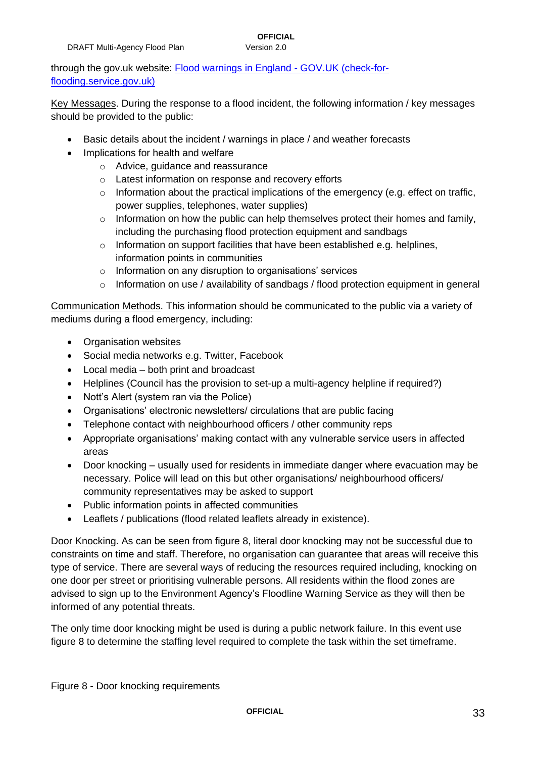### through the gov.uk website: [Flood warnings in England -](https://check-for-flooding.service.gov.uk/?_ga=2.201710929.1136811879.1573728047-326082266.1569854832) GOV.UK (check-for[flooding.service.gov.uk\)](https://check-for-flooding.service.gov.uk/?_ga=2.201710929.1136811879.1573728047-326082266.1569854832)

Key Messages. During the response to a flood incident, the following information / key messages should be provided to the public:

- Basic details about the incident / warnings in place / and weather forecasts
- Implications for health and welfare
	- o Advice, guidance and reassurance
	- o Latest information on response and recovery efforts
	- $\circ$  Information about the practical implications of the emergency (e.g. effect on traffic, power supplies, telephones, water supplies)
	- $\circ$  Information on how the public can help themselves protect their homes and family, including the purchasing flood protection equipment and sandbags
	- o Information on support facilities that have been established e.g. helplines, information points in communities
	- o Information on any disruption to organisations' services
	- $\circ$  Information on use / availability of sandbags / flood protection equipment in general

Communication Methods. This information should be communicated to the public via a variety of mediums during a flood emergency, including:

- Organisation websites
- Social media networks e.g. Twitter, Facebook
- Local media both print and broadcast
- Helplines (Council has the provision to set-up a multi-agency helpline if required?)
- Nott's Alert (system ran via the Police)
- Organisations' electronic newsletters/ circulations that are public facing
- Telephone contact with neighbourhood officers / other community reps
- Appropriate organisations' making contact with any vulnerable service users in affected areas
- Door knocking usually used for residents in immediate danger where evacuation may be necessary. Police will lead on this but other organisations/ neighbourhood officers/ community representatives may be asked to support
- Public information points in affected communities
- Leaflets / publications (flood related leaflets already in existence).

Door Knocking. As can be seen from figure 8, literal door knocking may not be successful due to constraints on time and staff. Therefore, no organisation can guarantee that areas will receive this type of service. There are several ways of reducing the resources required including, knocking on one door per street or prioritising vulnerable persons. All residents within the flood zones are advised to sign up to the Environment Agency's Floodline Warning Service as they will then be informed of any potential threats.

The only time door knocking might be used is during a public network failure. In this event use figure 8 to determine the staffing level required to complete the task within the set timeframe.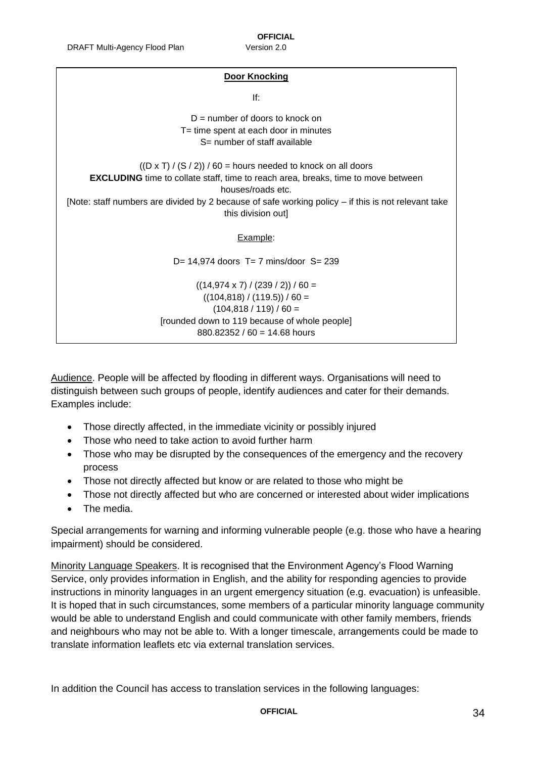#### **Door Knocking**

If:

 $D =$  number of doors to knock on T= time spent at each door in minutes S= number of staff available

 $((D \times T) / (S / 2)) / 60$  = hours needed to knock on all doors **EXCLUDING** time to collate staff, time to reach area, breaks, time to move between houses/roads etc. [Note: staff numbers are divided by 2 because of safe working policy – if this is not relevant take this division out] Example: D= 14,974 doors T= 7 mins/door S= 239  $((14,974 \times 7) / (239 / 2)) / 60 =$  $((104,818) / (119.5)) / 60 =$  $(104,818 / 119) / 60 =$ 

[rounded down to 119 because of whole people]

880.82352 / 60 = 14.68 hours

Audience. People will be affected by flooding in different ways. Organisations will need to distinguish between such groups of people, identify audiences and cater for their demands. Examples include:

- Those directly affected, in the immediate vicinity or possibly injured
- Those who need to take action to avoid further harm
- Those who may be disrupted by the consequences of the emergency and the recovery process
- Those not directly affected but know or are related to those who might be
- Those not directly affected but who are concerned or interested about wider implications
- The media.

Special arrangements for warning and informing vulnerable people (e.g. those who have a hearing impairment) should be considered.

Minority Language Speakers. It is recognised that the Environment Agency's Flood Warning Service, only provides information in English, and the ability for responding agencies to provide instructions in minority languages in an urgent emergency situation (e.g. evacuation) is unfeasible. It is hoped that in such circumstances, some members of a particular minority language community would be able to understand English and could communicate with other family members, friends and neighbours who may not be able to. With a longer timescale, arrangements could be made to translate information leaflets etc via external translation services.

In addition the Council has access to translation services in the following languages:

**OFFICIAL** 34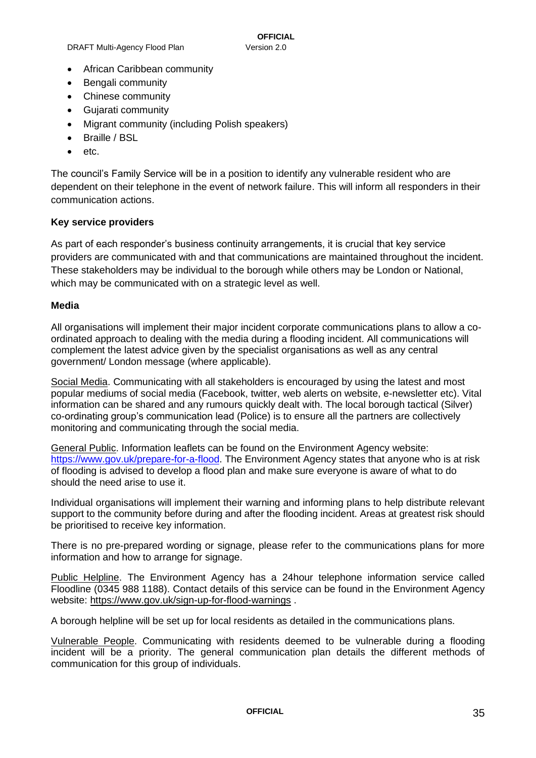- African Caribbean community
- Bengali community
- Chinese community
- Gujarati community
- Migrant community (including Polish speakers)
- Braille / BSL
- etc.

The council's Family Service will be in a position to identify any vulnerable resident who are dependent on their telephone in the event of network failure. This will inform all responders in their communication actions.

#### **Key service providers**

As part of each responder's business continuity arrangements, it is crucial that key service providers are communicated with and that communications are maintained throughout the incident. These stakeholders may be individual to the borough while others may be London or National, which may be communicated with on a strategic level as well.

#### **Media**

All organisations will implement their major incident corporate communications plans to allow a coordinated approach to dealing with the media during a flooding incident. All communications will complement the latest advice given by the specialist organisations as well as any central government/ London message (where applicable).

Social Media. Communicating with all stakeholders is encouraged by using the latest and most popular mediums of social media (Facebook, twitter, web alerts on website, e-newsletter etc). Vital information can be shared and any rumours quickly dealt with. The local borough tactical (Silver) co-ordinating group's communication lead (Police) is to ensure all the partners are collectively monitoring and communicating through the social media.

General Public. Information leaflets can be found on the Environment Agency website: [https://www.gov.uk/prepare-for-a-flood.](https://www.gov.uk/prepare-for-a-flood) The Environment Agency states that anyone who is at risk of flooding is advised to develop a flood plan and make sure everyone is aware of what to do should the need arise to use it.

Individual organisations will implement their warning and informing plans to help distribute relevant support to the community before during and after the flooding incident. Areas at greatest risk should be prioritised to receive key information.

There is no pre-prepared wording or signage, please refer to the communications plans for more information and how to arrange for signage.

Public Helpline. The Environment Agency has a 24hour telephone information service called Floodline (0345 988 1188). Contact details of this service can be found in the Environment Agency website: <https://www.gov.uk/sign-up-for-flood-warnings> .

A borough helpline will be set up for local residents as detailed in the communications plans.

Vulnerable People. Communicating with residents deemed to be vulnerable during a flooding incident will be a priority. The general communication plan details the different methods of communication for this group of individuals.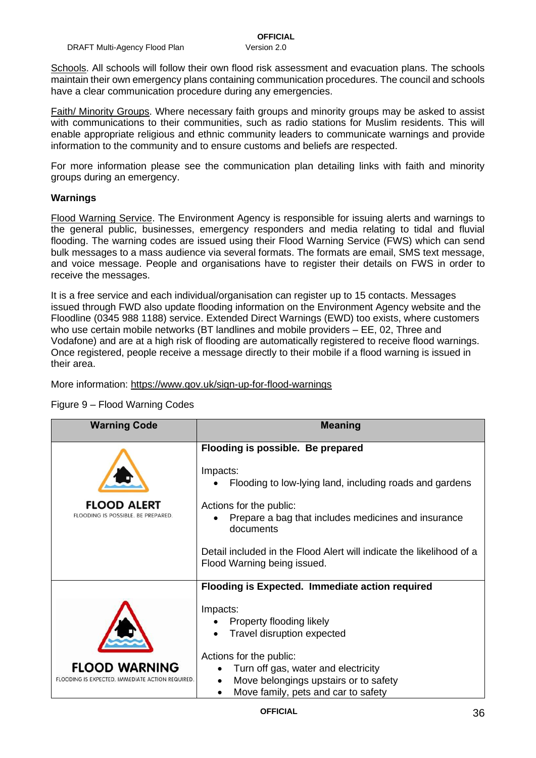Schools. All schools will follow their own flood risk assessment and evacuation plans. The schools maintain their own emergency plans containing communication procedures. The council and schools have a clear communication procedure during any emergencies.

Faith/ Minority Groups. Where necessary faith groups and minority groups may be asked to assist with communications to their communities, such as radio stations for Muslim residents. This will enable appropriate religious and ethnic community leaders to communicate warnings and provide information to the community and to ensure customs and beliefs are respected.

For more information please see the communication plan detailing links with faith and minority groups during an emergency.

#### **Warnings**

Flood Warning Service. The Environment Agency is responsible for issuing alerts and warnings to the general public, businesses, emergency responders and media relating to tidal and fluvial flooding. The warning codes are issued using their Flood Warning Service (FWS) which can send bulk messages to a mass audience via several formats. The formats are email, SMS text message, and voice message. People and organisations have to register their details on FWS in order to receive the messages.

It is a free service and each individual/organisation can register up to 15 contacts. Messages issued through FWD also update flooding information on the Environment Agency website and the Floodline (0345 988 1188) service. Extended Direct Warnings (EWD) too exists, where customers who use certain mobile networks (BT landlines and mobile providers – EE, 02, Three and Vodafone) and are at a high risk of flooding are automatically registered to receive flood warnings. Once registered, people receive a message directly to their mobile if a flood warning is issued in their area.

More information:<https://www.gov.uk/sign-up-for-flood-warnings>

| <b>Warning Code</b>                                      | <b>Meaning</b>                                                                                      |  |
|----------------------------------------------------------|-----------------------------------------------------------------------------------------------------|--|
|                                                          | Flooding is possible. Be prepared                                                                   |  |
|                                                          | Impacts:<br>Flooding to low-lying land, including roads and gardens                                 |  |
| <b>FLOOD ALERT</b><br>FLOODING IS POSSIBLE. BE PREPARED. | Actions for the public:<br>Prepare a bag that includes medicines and insurance<br>documents         |  |
|                                                          | Detail included in the Flood Alert will indicate the likelihood of a<br>Flood Warning being issued. |  |
|                                                          | Flooding is Expected. Immediate action required                                                     |  |
|                                                          | Impacts:                                                                                            |  |
|                                                          | Property flooding likely                                                                            |  |
|                                                          | Travel disruption expected                                                                          |  |
|                                                          | Actions for the public:                                                                             |  |
| <b>FLOOD WARNING</b>                                     | Turn off gas, water and electricity                                                                 |  |
| FLOODING IS EXPECTED. IMMEDIATE ACTION REQUIRED          | Move belongings upstairs or to safety                                                               |  |
|                                                          | Move family, pets and car to safety<br>$\bullet$                                                    |  |

#### Figure 9 – Flood Warning Codes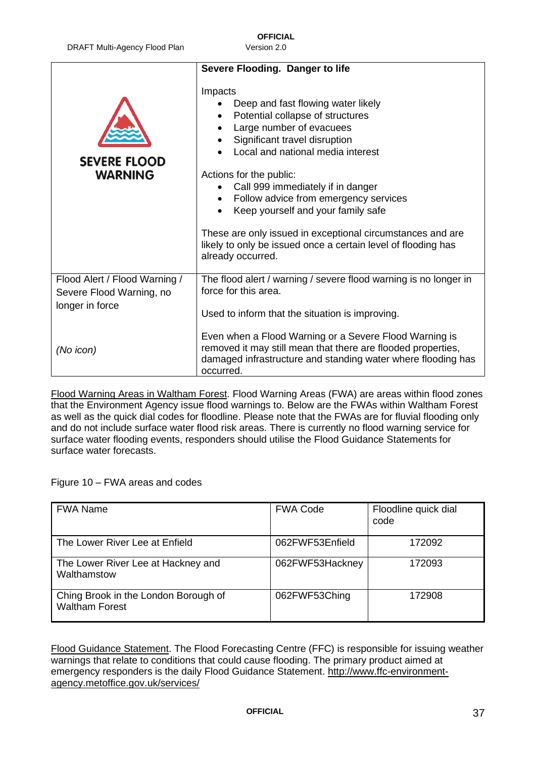| DRAFT Multi-Agency Flood Plan |
|-------------------------------|
|-------------------------------|

Version 2.0

|                                                                              | Severe Flooding. Danger to life                                                                                                                                                                                                                                                                                                                                                                                                                                                        |  |  |
|------------------------------------------------------------------------------|----------------------------------------------------------------------------------------------------------------------------------------------------------------------------------------------------------------------------------------------------------------------------------------------------------------------------------------------------------------------------------------------------------------------------------------------------------------------------------------|--|--|
| <b>SEVERE FLOOD</b><br><b>WARNING</b>                                        | Impacts<br>Deep and fast flowing water likely<br>Potential collapse of structures<br>Large number of evacuees<br>Significant travel disruption<br>Local and national media interest<br>Actions for the public:<br>Call 999 immediately if in danger<br>Follow advice from emergency services<br>Keep yourself and your family safe<br>These are only issued in exceptional circumstances and are<br>likely to only be issued once a certain level of flooding has<br>already occurred. |  |  |
| Flood Alert / Flood Warning /<br>Severe Flood Warning, no<br>longer in force | The flood alert / warning / severe flood warning is no longer in<br>force for this area.<br>Used to inform that the situation is improving.                                                                                                                                                                                                                                                                                                                                            |  |  |
| (No icon)                                                                    | Even when a Flood Warning or a Severe Flood Warning is<br>removed it may still mean that there are flooded properties,<br>damaged infrastructure and standing water where flooding has<br>occurred.                                                                                                                                                                                                                                                                                    |  |  |

Flood Warning Areas in Waltham Forest. Flood Warning Areas (FWA) are areas within flood zones that the Environment Agency issue flood warnings to. Below are the FWAs within Waltham Forest as well as the quick dial codes for floodline. Please note that the FWAs are for fluvial flooding only and do not include surface water flood risk areas. There is currently no flood warning service for surface water flooding events, responders should utilise the Flood Guidance Statements for surface water forecasts.

Figure 10 – FWA areas and codes

| <b>FWA Name</b>                                               | <b>FWA Code</b> | Floodline quick dial<br>code |
|---------------------------------------------------------------|-----------------|------------------------------|
| The Lower River Lee at Enfield                                | 062FWF53Enfield | 172092                       |
| The Lower River Lee at Hackney and<br>Walthamstow             | 062FWF53Hackney | 172093                       |
| Ching Brook in the London Borough of<br><b>Waltham Forest</b> | 062FWF53Ching   | 172908                       |

Flood Guidance Statement. The Flood Forecasting Centre (FFC) is responsible for issuing weather warnings that relate to conditions that could cause flooding. The primary product aimed at emergency responders is the daily Flood Guidance Statement. [http://www.ffc-environment](http://www.ffc-environment-agency.metoffice.gov.uk/services/)[agency.metoffice.gov.uk/services/](http://www.ffc-environment-agency.metoffice.gov.uk/services/)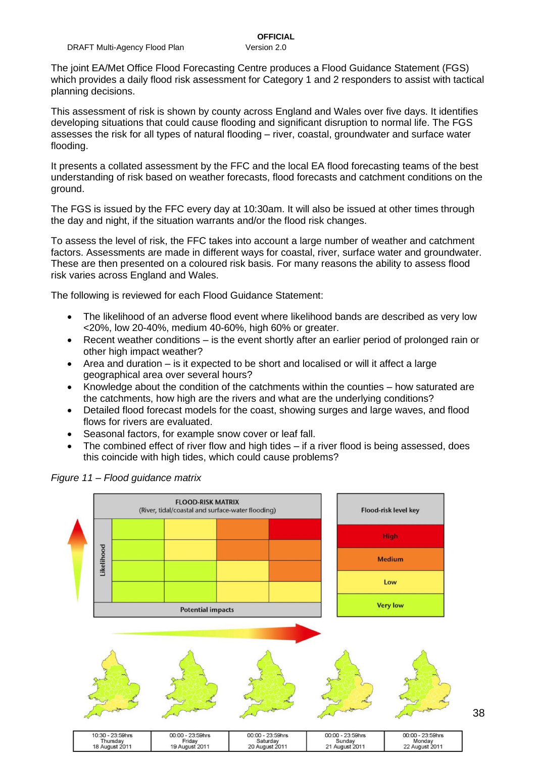The joint EA/Met Office Flood Forecasting Centre produces a Flood Guidance Statement (FGS) which provides a daily flood risk assessment for Category 1 and 2 responders to assist with tactical planning decisions.

This assessment of risk is shown by county across England and Wales over five days. It identifies developing situations that could cause flooding and significant disruption to normal life. The FGS assesses the risk for all types of natural flooding – river, coastal, groundwater and surface water flooding.

It presents a collated assessment by the FFC and the local EA flood forecasting teams of the best understanding of risk based on weather forecasts, flood forecasts and catchment conditions on the ground.

The FGS is issued by the FFC every day at 10:30am. It will also be issued at other times through the day and night, if the situation warrants and/or the flood risk changes.

To assess the level of risk, the FFC takes into account a large number of weather and catchment factors. Assessments are made in different ways for coastal, river, surface water and groundwater. These are then presented on a coloured risk basis. For many reasons the ability to assess flood risk varies across England and Wales.

The following is reviewed for each Flood Guidance Statement:

- The likelihood of an adverse flood event where likelihood bands are described as very low <20%, low 20-40%, medium 40-60%, high 60% or greater.
- Recent weather conditions is the event shortly after an earlier period of prolonged rain or other high impact weather?
- Area and duration is it expected to be short and localised or will it affect a large geographical area over several hours?
- Knowledge about the condition of the catchments within the counties how saturated are the catchments, how high are the rivers and what are the underlying conditions?
- Detailed flood forecast models for the coast, showing surges and large waves, and flood flows for rivers are evaluated.
- Seasonal factors, for example snow cover or leaf fall.
- The combined effect of river flow and high tides if a river flood is being assessed, does this coincide with high tides, which could cause problems?



*Figure 11 – Flood guidance matrix*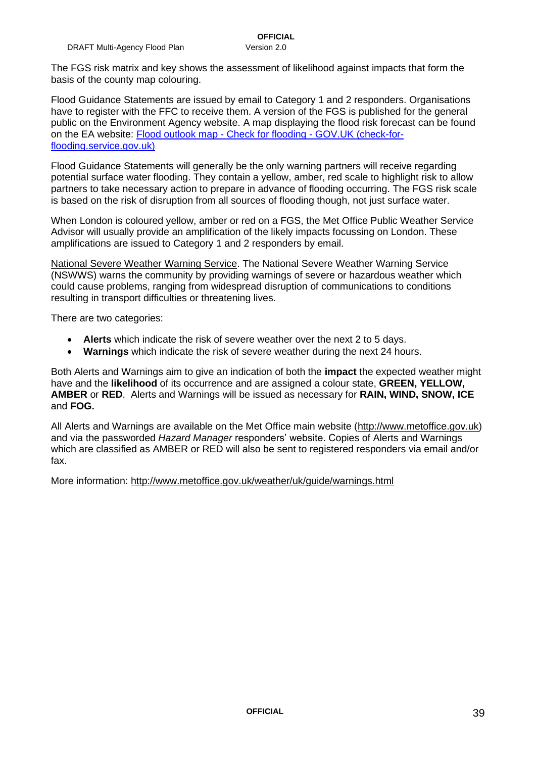Flood Guidance Statements are issued by email to Category 1 and 2 responders. Organisations have to register with the FFC to receive them. A version of the FGS is published for the general public on the Environment Agency website. A map displaying the flood risk forecast can be found on the EA website: [Flood outlook map -](https://check-for-flooding.service.gov.uk/?v=map-outlook) Check for flooding - GOV.UK (check-for[flooding.service.gov.uk\)](https://check-for-flooding.service.gov.uk/?v=map-outlook)

Flood Guidance Statements will generally be the only warning partners will receive regarding potential surface water flooding. They contain a yellow, amber, red scale to highlight risk to allow partners to take necessary action to prepare in advance of flooding occurring. The FGS risk scale is based on the risk of disruption from all sources of flooding though, not just surface water.

When London is coloured yellow, amber or red on a FGS, the Met Office Public Weather Service Advisor will usually provide an amplification of the likely impacts focussing on London. These amplifications are issued to Category 1 and 2 responders by email.

National Severe Weather Warning Service. The National Severe Weather Warning Service (NSWWS) warns the community by providing warnings of severe or hazardous weather which could cause problems, ranging from widespread disruption of communications to conditions resulting in transport difficulties or threatening lives.

There are two categories:

- **Alerts** which indicate the risk of severe weather over the next 2 to 5 days.
- **Warnings** which indicate the risk of severe weather during the next 24 hours.

Both Alerts and Warnings aim to give an indication of both the **impact** the expected weather might have and the **likelihood** of its occurrence and are assigned a colour state, **GREEN, YELLOW, AMBER** or **RED**. Alerts and Warnings will be issued as necessary for **RAIN, WIND, SNOW, ICE** and **FOG.**

All Alerts and Warnings are available on the Met Office main website [\(http://www.metoffice.gov.uk\)](http://www.metoffice.gov.uk/) and via the passworded *Hazard Manager* responders' website. Copies of Alerts and Warnings which are classified as AMBER or RED will also be sent to registered responders via email and/or fax.

More information:<http://www.metoffice.gov.uk/weather/uk/guide/warnings.html>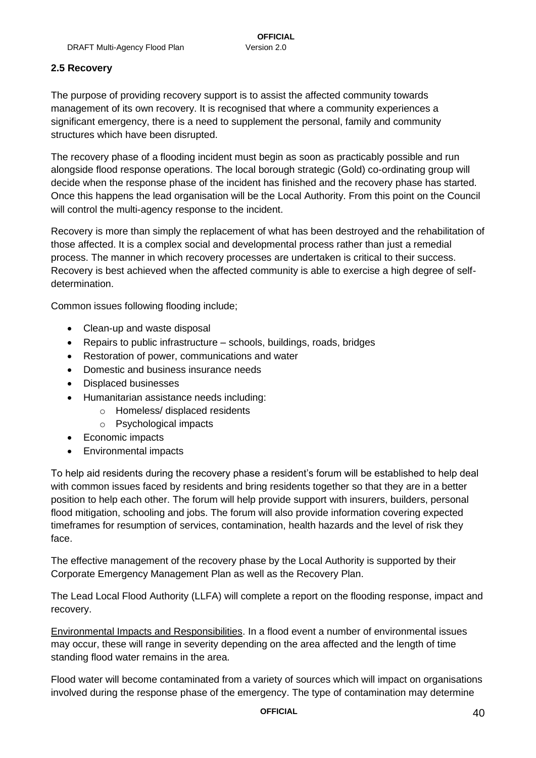#### <span id="page-39-0"></span>**2.5 Recovery**

The purpose of providing recovery support is to assist the affected community towards management of its own recovery. It is recognised that where a community experiences a significant emergency, there is a need to supplement the personal, family and community structures which have been disrupted.

The recovery phase of a flooding incident must begin as soon as practicably possible and run alongside flood response operations. The local borough strategic (Gold) co-ordinating group will decide when the response phase of the incident has finished and the recovery phase has started. Once this happens the lead organisation will be the Local Authority. From this point on the Council will control the multi-agency response to the incident.

Recovery is more than simply the replacement of what has been destroyed and the rehabilitation of those affected. It is a complex social and developmental process rather than just a remedial process. The manner in which recovery processes are undertaken is critical to their success. Recovery is best achieved when the affected community is able to exercise a high degree of selfdetermination.

Common issues following flooding include;

- Clean-up and waste disposal
- Repairs to public infrastructure schools, buildings, roads, bridges
- Restoration of power, communications and water
- Domestic and business insurance needs
- Displaced businesses
- Humanitarian assistance needs including:
	- o Homeless/ displaced residents
	- o Psychological impacts
- Economic impacts
- Environmental impacts

To help aid residents during the recovery phase a resident's forum will be established to help deal with common issues faced by residents and bring residents together so that they are in a better position to help each other. The forum will help provide support with insurers, builders, personal flood mitigation, schooling and jobs. The forum will also provide information covering expected timeframes for resumption of services, contamination, health hazards and the level of risk they face.

The effective management of the recovery phase by the Local Authority is supported by their Corporate Emergency Management Plan as well as the Recovery Plan.

The Lead Local Flood Authority (LLFA) will complete a report on the flooding response, impact and recovery.

Environmental Impacts and Responsibilities. In a flood event a number of environmental issues may occur, these will range in severity depending on the area affected and the length of time standing flood water remains in the area.

Flood water will become contaminated from a variety of sources which will impact on organisations involved during the response phase of the emergency. The type of contamination may determine